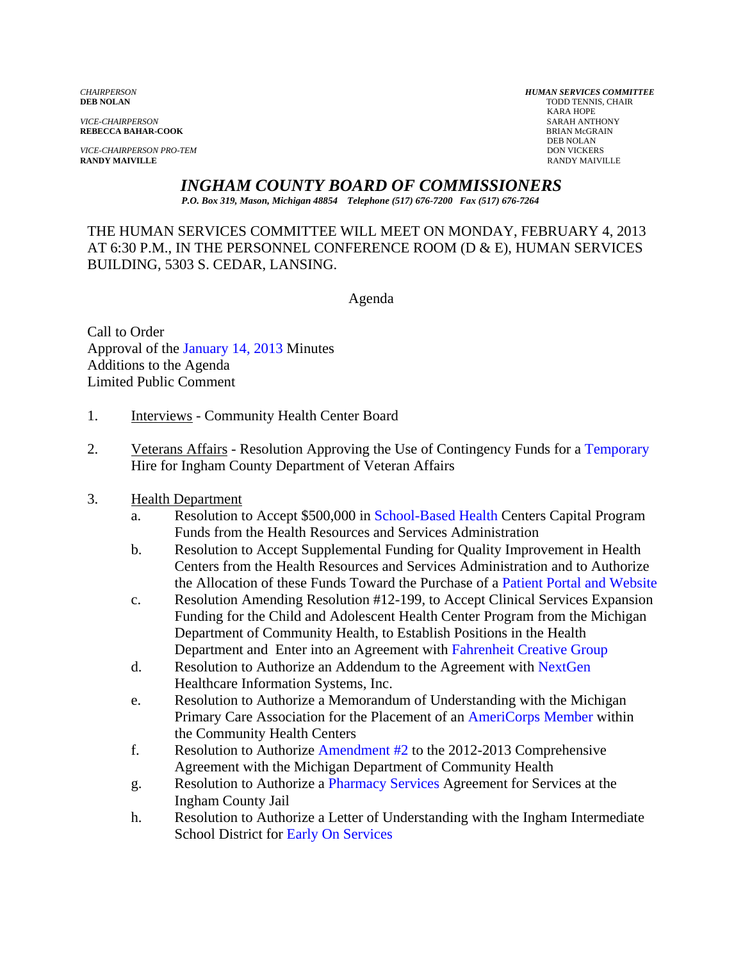*VICE-CHAIRPERSON* SARAH ANTHONY

*VICE-CHAIRPERSON PRO-TEM* DON VICKERS **RANDY MAIVILLE** RANDY MAIVILLE

*CHAIRPERSON HUMAN SERVICES COMMITTEE* TODD TENNIS, CHAIR<br>KARA HOPE KARA HOPE **REBECCA BAHAR-COOK**<br>BRIAN McGR<br>DEB NOLAN DEB NOLAN

*INGHAM COUNTY BOARD OF COMMISSIONERS* 

*P.O. Box 319, Mason, Michigan 48854 Telephone (517) 676-7200 Fax (517) 676-7264*

THE HUMAN SERVICES COMMITTEE WILL MEET ON MONDAY, FEBRUARY 4, 2013 AT 6:30 P.M., IN THE PERSONNEL CONFERENCE ROOM (D & E), HUMAN SERVICES BUILDING, 5303 S. CEDAR, LANSING.

Agenda

Call to Order Approval [of the January 14, 2013 Minutes](#page-2-0)  Additions to the Agenda Limited Pub[lic Comment](#page-2-0) 

- 1. Interviews Community Health Center Board
- 2. Veterans Affairs Resolution Approving the Use of Contingency Fund[s for a Temporary](#page-11-0) Hire for Ingham County Department of Veteran Affairs
- 3. Health Department
	- a. Resolution to Accept \$500,0[00 in School-Based Health Cen](#page-13-0)ters Capital Program Funds from the Health Resources and Services Administration
	- b. Resolution to Accept Supplemental Funding for Quality Improvement in Health Centers from the Health Resources and Services Administration and to Authorize the Allocation of these Funds Toward the Purchase o[f a Patient Portal and Website](#page-15-0)
	- c. Resolution Amending Resolution #12-199, to Accept Clinical Services Expansion Funding for the Child and Adolescent Health Center Program from the Michigan Department of Community Health, to Establish Positions in the Health Department and Enter into an Agreemen[t with Fahrenheit Creative Group](#page-17-0)
	- d. Resolution to Authorize an Addendum to the Agreement wi[th NextGen](#page-24-0)  Healthcare Information Systems, Inc.
	- e. Resolution to Authorize a Memorandum of Understanding with the Michigan Primary Care Association for the Placement of [an AmeriCorps Member within](#page-26-0) the Community Health Centers
	- f. Resolution to Authorize Amendment  $#2$  to the 2012-2013 Comprehensive Agreement with the Michigan Department of Community Health
	- g. Resolution to Authorize [a Pharmacy Services Agreeme](#page-30-0)nt for Services at the Ingham County Jail
	- h. Resolution to Authorize a Letter of Understanding with the Ingham Intermediate School District for [Early On Services](#page-32-0)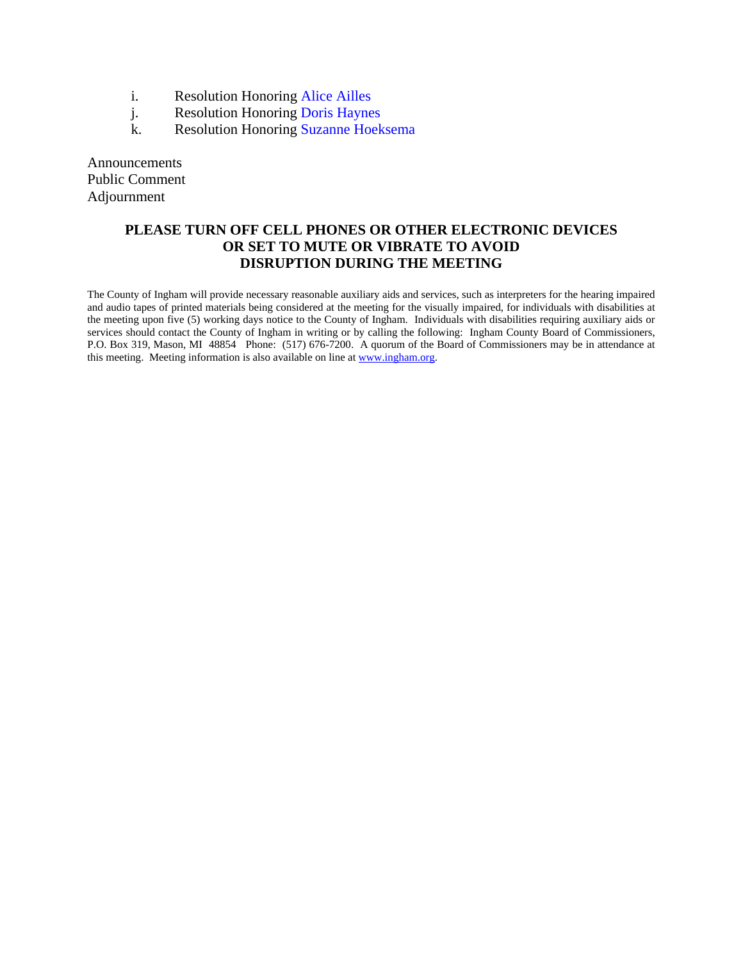- i. Resolution Honor[ing Alice Ailles](#page-34-0)
- j. Resolution Honorin[g Doris Haynes](#page-35-0)
- k. Resolution Honorin[g Suzanne Hoeksema](#page-36-0)

Announcements Public Comment Adjournment

#### **PLEASE TURN OFF CELL PHONES OR OTHER ELECTRONIC DEVICES OR SET TO MUTE OR VIBRATE TO AVOID DISRUPTION DURING THE MEETING**

The County of Ingham will provide necessary reasonable auxiliary aids and services, such as interpreters for the hearing impaired and audio tapes of printed materials being considered at the meeting for the visually impaired, for individuals with disabilities at the meeting upon five (5) working days notice to the County of Ingham. Individuals with disabilities requiring auxiliary aids or services should contact the County of Ingham in writing or by calling the following: Ingham County Board of Commissioners, P.O. Box 319, Mason, MI 48854 Phone: (517) 676-7200. A quorum of the Board of Commissioners may be in attendance at this meeting. Meeting information is also available on line at www.ingham.org.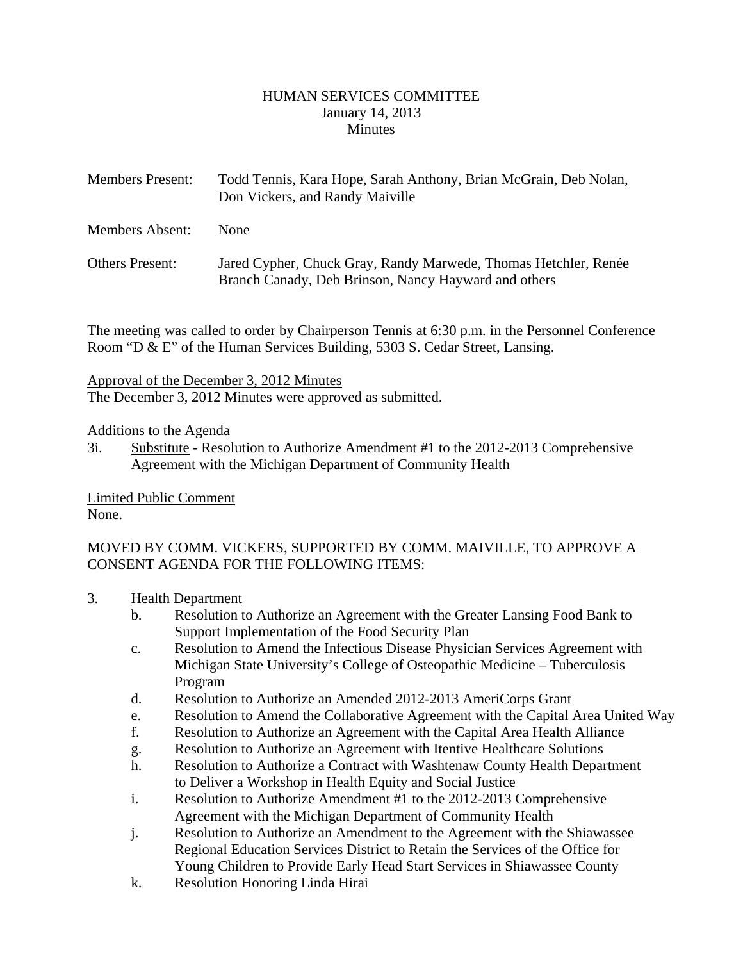#### HUMAN SERVICES COMMITTEE January 14, 2013 **Minutes**

<span id="page-2-0"></span>

| <b>Members Present:</b> | Todd Tennis, Kara Hope, Sarah Anthony, Brian McGrain, Deb Nolan,<br>Don Vickers, and Randy Maiville                     |
|-------------------------|-------------------------------------------------------------------------------------------------------------------------|
| <b>Members Absent:</b>  | <b>None</b>                                                                                                             |
| <b>Others Present:</b>  | Jared Cypher, Chuck Gray, Randy Marwede, Thomas Hetchler, Renée<br>Branch Canady, Deb Brinson, Nancy Hayward and others |

The meeting was called to order by Chairperson Tennis at 6:30 p.m. in the Personnel Conference Room "D & E" of the Human Services Building, 5303 S. Cedar Street, Lansing.

#### Approval of the December 3, 2012 Minutes

The December 3, 2012 Minutes were approved as submitted.

#### Additions to the Agenda

3i. Substitute - Resolution to Authorize Amendment #1 to the 2012-2013 Comprehensive Agreement with the Michigan Department of Community Health

Limited Public Comment None.

## MOVED BY COMM. VICKERS, SUPPORTED BY COMM. MAIVILLE, TO APPROVE A CONSENT AGENDA FOR THE FOLLOWING ITEMS:

- 3. Health Department
	- b. Resolution to Authorize an Agreement with the Greater Lansing Food Bank to Support Implementation of the Food Security Plan
	- c. Resolution to Amend the Infectious Disease Physician Services Agreement with Michigan State University's College of Osteopathic Medicine – Tuberculosis Program
	- d. Resolution to Authorize an Amended 2012-2013 AmeriCorps Grant
	- e. Resolution to Amend the Collaborative Agreement with the Capital Area United Way
	- f. Resolution to Authorize an Agreement with the Capital Area Health Alliance
	- g. Resolution to Authorize an Agreement with Itentive Healthcare Solutions
	- h. Resolution to Authorize a Contract with Washtenaw County Health Department to Deliver a Workshop in Health Equity and Social Justice
	- i. Resolution to Authorize Amendment #1 to the 2012-2013 Comprehensive Agreement with the Michigan Department of Community Health
	- j. Resolution to Authorize an Amendment to the Agreement with the Shiawassee Regional Education Services District to Retain the Services of the Office for Young Children to Provide Early Head Start Services in Shiawassee County
	- k. Resolution Honoring Linda Hirai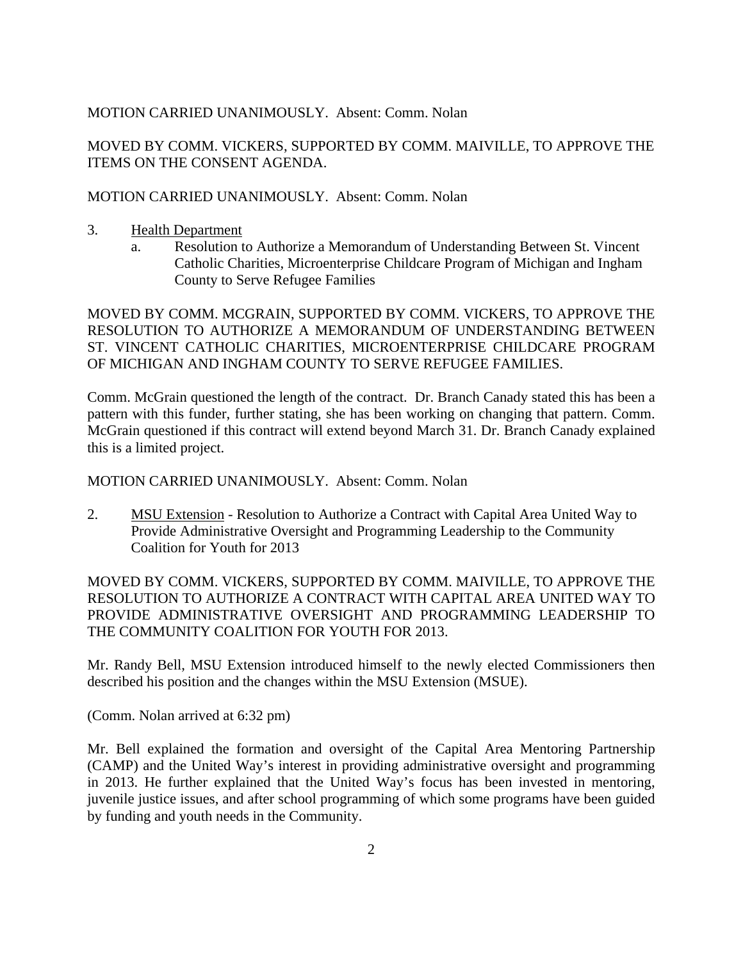### MOTION CARRIED UNANIMOUSLY. Absent: Comm. Nolan

MOVED BY COMM. VICKERS, SUPPORTED BY COMM. MAIVILLE, TO APPROVE THE ITEMS ON THE CONSENT AGENDA.

#### MOTION CARRIED UNANIMOUSLY. Absent: Comm. Nolan

- 3. Health Department
	- a. Resolution to Authorize a Memorandum of Understanding Between St. Vincent Catholic Charities, Microenterprise Childcare Program of Michigan and Ingham County to Serve Refugee Families

MOVED BY COMM. MCGRAIN, SUPPORTED BY COMM. VICKERS, TO APPROVE THE RESOLUTION TO AUTHORIZE A MEMORANDUM OF UNDERSTANDING BETWEEN ST. VINCENT CATHOLIC CHARITIES, MICROENTERPRISE CHILDCARE PROGRAM OF MICHIGAN AND INGHAM COUNTY TO SERVE REFUGEE FAMILIES.

Comm. McGrain questioned the length of the contract. Dr. Branch Canady stated this has been a pattern with this funder, further stating, she has been working on changing that pattern. Comm. McGrain questioned if this contract will extend beyond March 31. Dr. Branch Canady explained this is a limited project.

MOTION CARRIED UNANIMOUSLY. Absent: Comm. Nolan

2. MSU Extension - Resolution to Authorize a Contract with Capital Area United Way to Provide Administrative Oversight and Programming Leadership to the Community Coalition for Youth for 2013

MOVED BY COMM. VICKERS, SUPPORTED BY COMM. MAIVILLE, TO APPROVE THE RESOLUTION TO AUTHORIZE A CONTRACT WITH CAPITAL AREA UNITED WAY TO PROVIDE ADMINISTRATIVE OVERSIGHT AND PROGRAMMING LEADERSHIP TO THE COMMUNITY COALITION FOR YOUTH FOR 2013.

Mr. Randy Bell, MSU Extension introduced himself to the newly elected Commissioners then described his position and the changes within the MSU Extension (MSUE).

(Comm. Nolan arrived at 6:32 pm)

Mr. Bell explained the formation and oversight of the Capital Area Mentoring Partnership (CAMP) and the United Way's interest in providing administrative oversight and programming in 2013. He further explained that the United Way's focus has been invested in mentoring, juvenile justice issues, and after school programming of which some programs have been guided by funding and youth needs in the Community.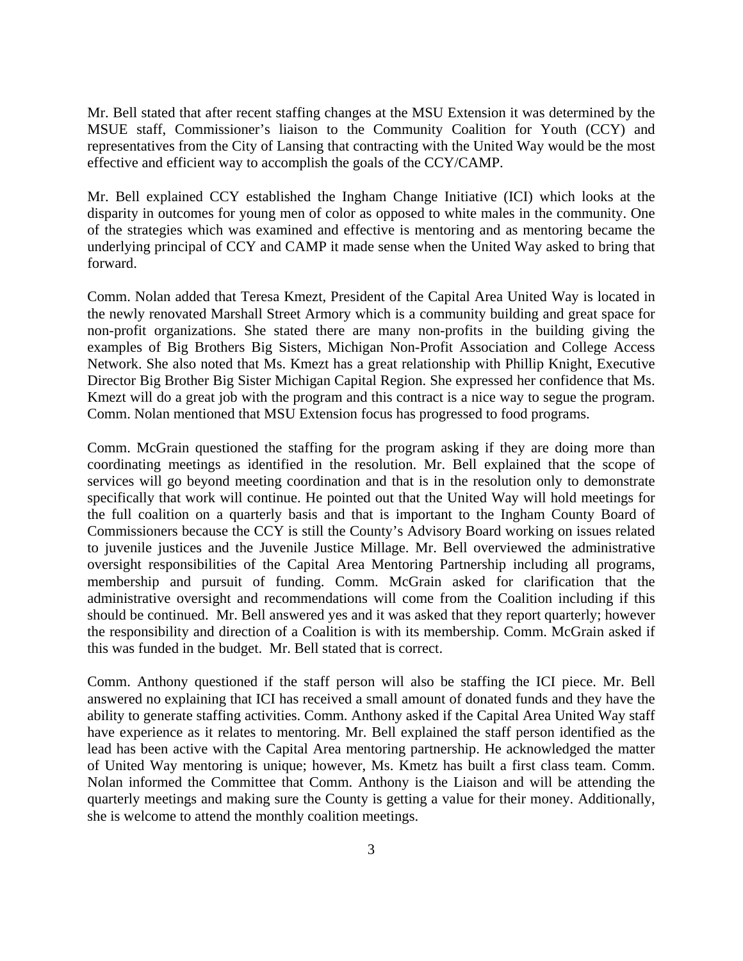Mr. Bell stated that after recent staffing changes at the MSU Extension it was determined by the MSUE staff, Commissioner's liaison to the Community Coalition for Youth (CCY) and representatives from the City of Lansing that contracting with the United Way would be the most effective and efficient way to accomplish the goals of the CCY/CAMP.

Mr. Bell explained CCY established the Ingham Change Initiative (ICI) which looks at the disparity in outcomes for young men of color as opposed to white males in the community. One of the strategies which was examined and effective is mentoring and as mentoring became the underlying principal of CCY and CAMP it made sense when the United Way asked to bring that forward.

Comm. Nolan added that Teresa Kmezt, President of the Capital Area United Way is located in the newly renovated Marshall Street Armory which is a community building and great space for non-profit organizations. She stated there are many non-profits in the building giving the examples of Big Brothers Big Sisters, Michigan Non-Profit Association and College Access Network. She also noted that Ms. Kmezt has a great relationship with Phillip Knight, Executive Director Big Brother Big Sister Michigan Capital Region. She expressed her confidence that Ms. Kmezt will do a great job with the program and this contract is a nice way to segue the program. Comm. Nolan mentioned that MSU Extension focus has progressed to food programs.

Comm. McGrain questioned the staffing for the program asking if they are doing more than coordinating meetings as identified in the resolution. Mr. Bell explained that the scope of services will go beyond meeting coordination and that is in the resolution only to demonstrate specifically that work will continue. He pointed out that the United Way will hold meetings for the full coalition on a quarterly basis and that is important to the Ingham County Board of Commissioners because the CCY is still the County's Advisory Board working on issues related to juvenile justices and the Juvenile Justice Millage. Mr. Bell overviewed the administrative oversight responsibilities of the Capital Area Mentoring Partnership including all programs, membership and pursuit of funding. Comm. McGrain asked for clarification that the administrative oversight and recommendations will come from the Coalition including if this should be continued. Mr. Bell answered yes and it was asked that they report quarterly; however the responsibility and direction of a Coalition is with its membership. Comm. McGrain asked if this was funded in the budget. Mr. Bell stated that is correct.

Comm. Anthony questioned if the staff person will also be staffing the ICI piece. Mr. Bell answered no explaining that ICI has received a small amount of donated funds and they have the ability to generate staffing activities. Comm. Anthony asked if the Capital Area United Way staff have experience as it relates to mentoring. Mr. Bell explained the staff person identified as the lead has been active with the Capital Area mentoring partnership. He acknowledged the matter of United Way mentoring is unique; however, Ms. Kmetz has built a first class team. Comm. Nolan informed the Committee that Comm. Anthony is the Liaison and will be attending the quarterly meetings and making sure the County is getting a value for their money. Additionally, she is welcome to attend the monthly coalition meetings.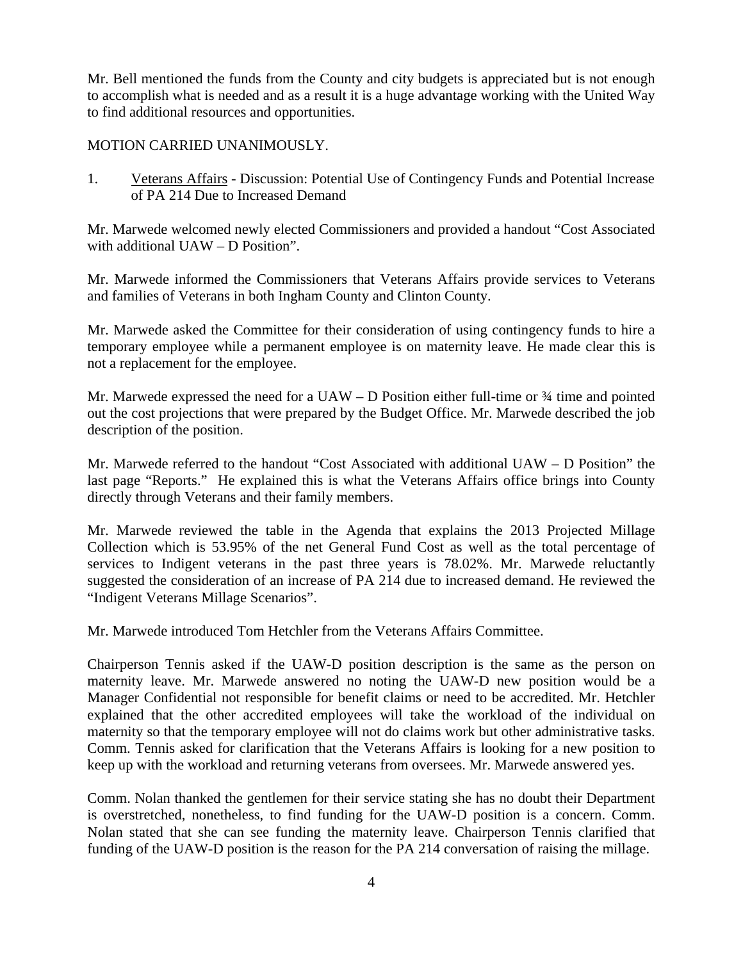Mr. Bell mentioned the funds from the County and city budgets is appreciated but is not enough to accomplish what is needed and as a result it is a huge advantage working with the United Way to find additional resources and opportunities.

### MOTION CARRIED UNANIMOUSLY.

1. Veterans Affairs - Discussion: Potential Use of Contingency Funds and Potential Increase of PA 214 Due to Increased Demand

Mr. Marwede welcomed newly elected Commissioners and provided a handout "Cost Associated with additional UAW – D Position".

Mr. Marwede informed the Commissioners that Veterans Affairs provide services to Veterans and families of Veterans in both Ingham County and Clinton County.

Mr. Marwede asked the Committee for their consideration of using contingency funds to hire a temporary employee while a permanent employee is on maternity leave. He made clear this is not a replacement for the employee.

Mr. Marwede expressed the need for a  $UAW - D$  Position either full-time or  $\frac{3}{4}$  time and pointed out the cost projections that were prepared by the Budget Office. Mr. Marwede described the job description of the position.

Mr. Marwede referred to the handout "Cost Associated with additional UAW – D Position" the last page "Reports." He explained this is what the Veterans Affairs office brings into County directly through Veterans and their family members.

Mr. Marwede reviewed the table in the Agenda that explains the 2013 Projected Millage Collection which is 53.95% of the net General Fund Cost as well as the total percentage of services to Indigent veterans in the past three years is 78.02%. Mr. Marwede reluctantly suggested the consideration of an increase of PA 214 due to increased demand. He reviewed the "Indigent Veterans Millage Scenarios".

Mr. Marwede introduced Tom Hetchler from the Veterans Affairs Committee.

Chairperson Tennis asked if the UAW-D position description is the same as the person on maternity leave. Mr. Marwede answered no noting the UAW-D new position would be a Manager Confidential not responsible for benefit claims or need to be accredited. Mr. Hetchler explained that the other accredited employees will take the workload of the individual on maternity so that the temporary employee will not do claims work but other administrative tasks. Comm. Tennis asked for clarification that the Veterans Affairs is looking for a new position to keep up with the workload and returning veterans from oversees. Mr. Marwede answered yes.

Comm. Nolan thanked the gentlemen for their service stating she has no doubt their Department is overstretched, nonetheless, to find funding for the UAW-D position is a concern. Comm. Nolan stated that she can see funding the maternity leave. Chairperson Tennis clarified that funding of the UAW-D position is the reason for the PA 214 conversation of raising the millage.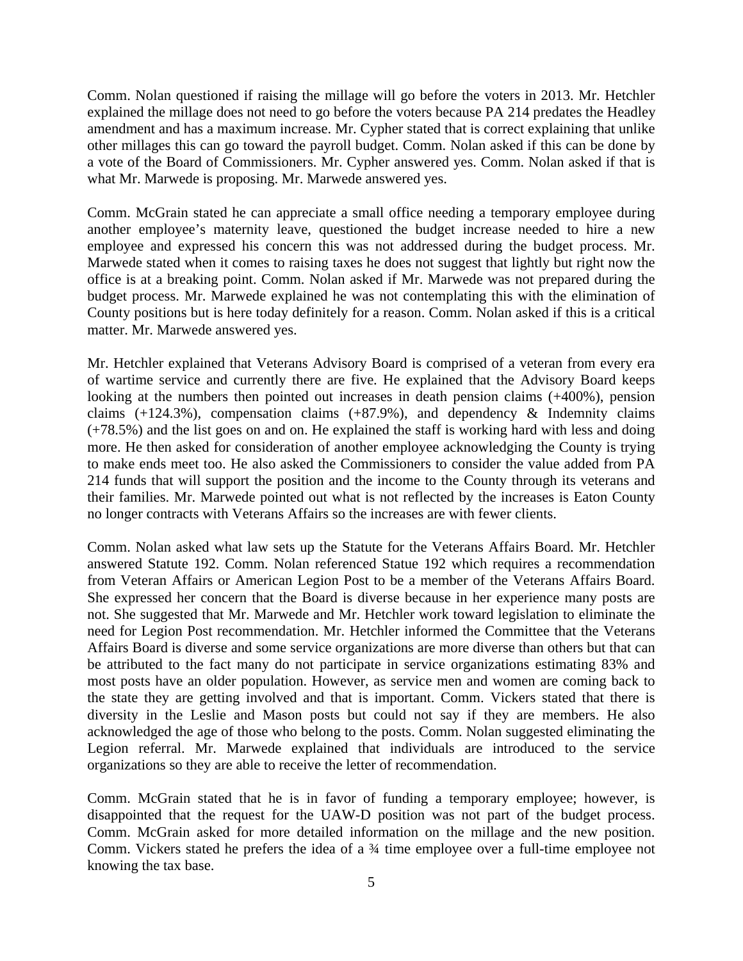Comm. Nolan questioned if raising the millage will go before the voters in 2013. Mr. Hetchler explained the millage does not need to go before the voters because PA 214 predates the Headley amendment and has a maximum increase. Mr. Cypher stated that is correct explaining that unlike other millages this can go toward the payroll budget. Comm. Nolan asked if this can be done by a vote of the Board of Commissioners. Mr. Cypher answered yes. Comm. Nolan asked if that is what Mr. Marwede is proposing. Mr. Marwede answered yes.

Comm. McGrain stated he can appreciate a small office needing a temporary employee during another employee's maternity leave, questioned the budget increase needed to hire a new employee and expressed his concern this was not addressed during the budget process. Mr. Marwede stated when it comes to raising taxes he does not suggest that lightly but right now the office is at a breaking point. Comm. Nolan asked if Mr. Marwede was not prepared during the budget process. Mr. Marwede explained he was not contemplating this with the elimination of County positions but is here today definitely for a reason. Comm. Nolan asked if this is a critical matter. Mr. Marwede answered yes.

Mr. Hetchler explained that Veterans Advisory Board is comprised of a veteran from every era of wartime service and currently there are five. He explained that the Advisory Board keeps looking at the numbers then pointed out increases in death pension claims (+400%), pension claims  $(+124.3\%)$ , compensation claims  $(+87.9\%)$ , and dependency & Indemnity claims (+78.5%) and the list goes on and on. He explained the staff is working hard with less and doing more. He then asked for consideration of another employee acknowledging the County is trying to make ends meet too. He also asked the Commissioners to consider the value added from PA 214 funds that will support the position and the income to the County through its veterans and their families. Mr. Marwede pointed out what is not reflected by the increases is Eaton County no longer contracts with Veterans Affairs so the increases are with fewer clients.

Comm. Nolan asked what law sets up the Statute for the Veterans Affairs Board. Mr. Hetchler answered Statute 192. Comm. Nolan referenced Statue 192 which requires a recommendation from Veteran Affairs or American Legion Post to be a member of the Veterans Affairs Board. She expressed her concern that the Board is diverse because in her experience many posts are not. She suggested that Mr. Marwede and Mr. Hetchler work toward legislation to eliminate the need for Legion Post recommendation. Mr. Hetchler informed the Committee that the Veterans Affairs Board is diverse and some service organizations are more diverse than others but that can be attributed to the fact many do not participate in service organizations estimating 83% and most posts have an older population. However, as service men and women are coming back to the state they are getting involved and that is important. Comm. Vickers stated that there is diversity in the Leslie and Mason posts but could not say if they are members. He also acknowledged the age of those who belong to the posts. Comm. Nolan suggested eliminating the Legion referral. Mr. Marwede explained that individuals are introduced to the service organizations so they are able to receive the letter of recommendation.

Comm. McGrain stated that he is in favor of funding a temporary employee; however, is disappointed that the request for the UAW-D position was not part of the budget process. Comm. McGrain asked for more detailed information on the millage and the new position. Comm. Vickers stated he prefers the idea of a ¾ time employee over a full-time employee not knowing the tax base.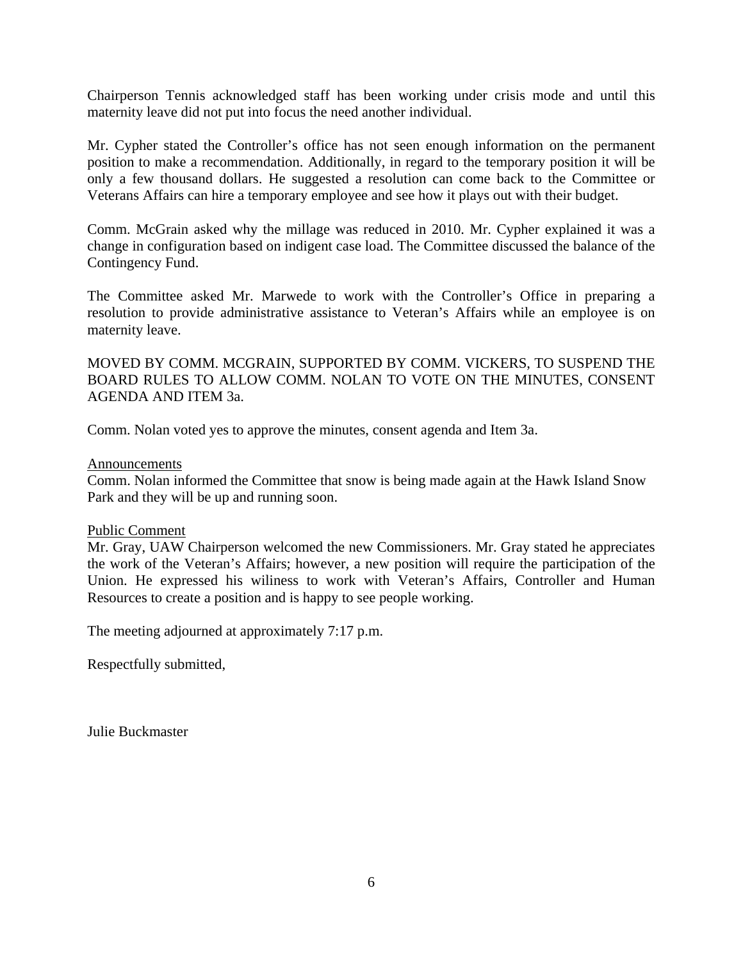Chairperson Tennis acknowledged staff has been working under crisis mode and until this maternity leave did not put into focus the need another individual.

Mr. Cypher stated the Controller's office has not seen enough information on the permanent position to make a recommendation. Additionally, in regard to the temporary position it will be only a few thousand dollars. He suggested a resolution can come back to the Committee or Veterans Affairs can hire a temporary employee and see how it plays out with their budget.

Comm. McGrain asked why the millage was reduced in 2010. Mr. Cypher explained it was a change in configuration based on indigent case load. The Committee discussed the balance of the Contingency Fund.

The Committee asked Mr. Marwede to work with the Controller's Office in preparing a resolution to provide administrative assistance to Veteran's Affairs while an employee is on maternity leave.

MOVED BY COMM. MCGRAIN, SUPPORTED BY COMM. VICKERS, TO SUSPEND THE BOARD RULES TO ALLOW COMM. NOLAN TO VOTE ON THE MINUTES, CONSENT AGENDA AND ITEM 3a.

Comm. Nolan voted yes to approve the minutes, consent agenda and Item 3a.

#### Announcements

Comm. Nolan informed the Committee that snow is being made again at the Hawk Island Snow Park and they will be up and running soon.

#### Public Comment

Mr. Gray, UAW Chairperson welcomed the new Commissioners. Mr. Gray stated he appreciates the work of the Veteran's Affairs; however, a new position will require the participation of the Union. He expressed his wiliness to work with Veteran's Affairs, Controller and Human Resources to create a position and is happy to see people working.

The meeting adjourned at approximately 7:17 p.m.

Respectfully submitted,

Julie Buckmaster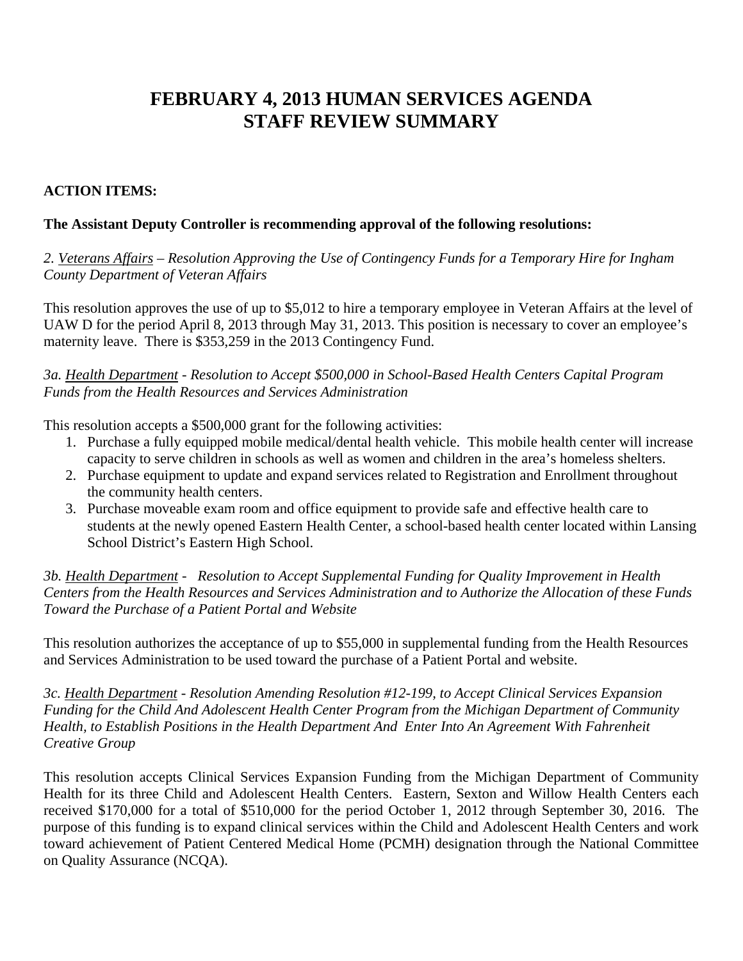# **FEBRUARY 4, 2013 HUMAN SERVICES AGENDA STAFF REVIEW SUMMARY**

## **ACTION ITEMS:**

### **The Assistant Deputy Controller is recommending approval of the following resolutions:**

*2. Veterans Affairs – Resolution Approving the Use of Contingency Funds for a Temporary Hire for Ingham County Department of Veteran Affairs* 

This resolution approves the use of up to \$5,012 to hire a temporary employee in Veteran Affairs at the level of UAW D for the period April 8, 2013 through May 31, 2013. This position is necessary to cover an employee's maternity leave. There is \$353,259 in the 2013 Contingency Fund.

*3a. Health Department - Resolution to Accept \$500,000 in School-Based Health Centers Capital Program Funds from the Health Resources and Services Administration* 

This resolution accepts a \$500,000 grant for the following activities:

- 1. Purchase a fully equipped mobile medical/dental health vehicle. This mobile health center will increase capacity to serve children in schools as well as women and children in the area's homeless shelters.
- 2. Purchase equipment to update and expand services related to Registration and Enrollment throughout the community health centers.
- 3. Purchase moveable exam room and office equipment to provide safe and effective health care to students at the newly opened Eastern Health Center, a school-based health center located within Lansing School District's Eastern High School.

*3b. Health Department - Resolution to Accept Supplemental Funding for Quality Improvement in Health Centers from the Health Resources and Services Administration and to Authorize the Allocation of these Funds Toward the Purchase of a Patient Portal and Website* 

This resolution authorizes the acceptance of up to \$55,000 in supplemental funding from the Health Resources and Services Administration to be used toward the purchase of a Patient Portal and website.

*3c. Health Department - Resolution Amending Resolution #12-199, to Accept Clinical Services Expansion Funding for the Child And Adolescent Health Center Program from the Michigan Department of Community Health, to Establish Positions in the Health Department And Enter Into An Agreement With Fahrenheit Creative Group* 

This resolution accepts Clinical Services Expansion Funding from the Michigan Department of Community Health for its three Child and Adolescent Health Centers. Eastern, Sexton and Willow Health Centers each received \$170,000 for a total of \$510,000 for the period October 1, 2012 through September 30, 2016. The purpose of this funding is to expand clinical services within the Child and Adolescent Health Centers and work toward achievement of Patient Centered Medical Home (PCMH) designation through the National Committee on Quality Assurance (NCQA).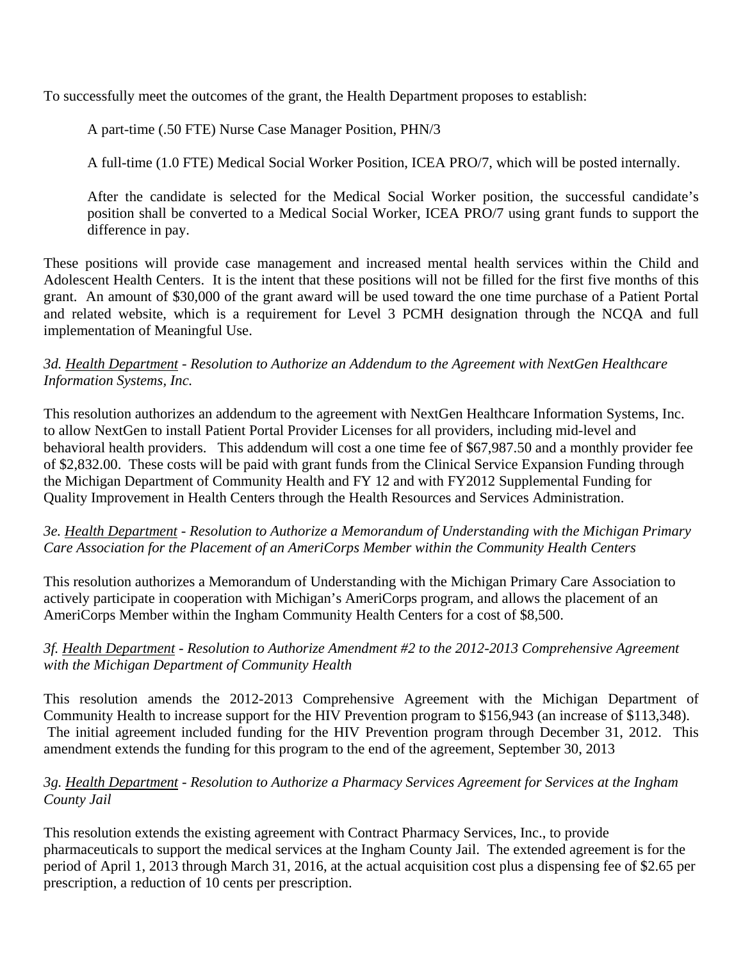To successfully meet the outcomes of the grant, the Health Department proposes to establish:

A part-time (.50 FTE) Nurse Case Manager Position, PHN/3

A full-time (1.0 FTE) Medical Social Worker Position, ICEA PRO/7, which will be posted internally.

After the candidate is selected for the Medical Social Worker position, the successful candidate's position shall be converted to a Medical Social Worker, ICEA PRO/7 using grant funds to support the difference in pay.

These positions will provide case management and increased mental health services within the Child and Adolescent Health Centers. It is the intent that these positions will not be filled for the first five months of this grant. An amount of \$30,000 of the grant award will be used toward the one time purchase of a Patient Portal and related website, which is a requirement for Level 3 PCMH designation through the NCQA and full implementation of Meaningful Use.

## *3d. Health Department - Resolution to Authorize an Addendum to the Agreement with NextGen Healthcare Information Systems, Inc.*

This resolution authorizes an addendum to the agreement with NextGen Healthcare Information Systems, Inc. to allow NextGen to install Patient Portal Provider Licenses for all providers, including mid-level and behavioral health providers. This addendum will cost a one time fee of \$67,987.50 and a monthly provider fee of \$2,832.00. These costs will be paid with grant funds from the Clinical Service Expansion Funding through the Michigan Department of Community Health and FY 12 and with FY2012 Supplemental Funding for Quality Improvement in Health Centers through the Health Resources and Services Administration.

## *3e. Health Department - Resolution to Authorize a Memorandum of Understanding with the Michigan Primary Care Association for the Placement of an AmeriCorps Member within the Community Health Centers*

This resolution authorizes a Memorandum of Understanding with the Michigan Primary Care Association to actively participate in cooperation with Michigan's AmeriCorps program, and allows the placement of an AmeriCorps Member within the Ingham Community Health Centers for a cost of \$8,500.

## *3f. Health Department - Resolution to Authorize Amendment #2 to the 2012-2013 Comprehensive Agreement with the Michigan Department of Community Health*

This resolution amends the 2012-2013 Comprehensive Agreement with the Michigan Department of Community Health to increase support for the HIV Prevention program to \$156,943 (an increase of \$113,348). The initial agreement included funding for the HIV Prevention program through December 31, 2012. This amendment extends the funding for this program to the end of the agreement, September 30, 2013

## *3g. Health Department - Resolution to Authorize a Pharmacy Services Agreement for Services at the Ingham County Jail*

This resolution extends the existing agreement with Contract Pharmacy Services, Inc., to provide pharmaceuticals to support the medical services at the Ingham County Jail. The extended agreement is for the period of April 1, 2013 through March 31, 2016, at the actual acquisition cost plus a dispensing fee of \$2.65 per prescription, a reduction of 10 cents per prescription.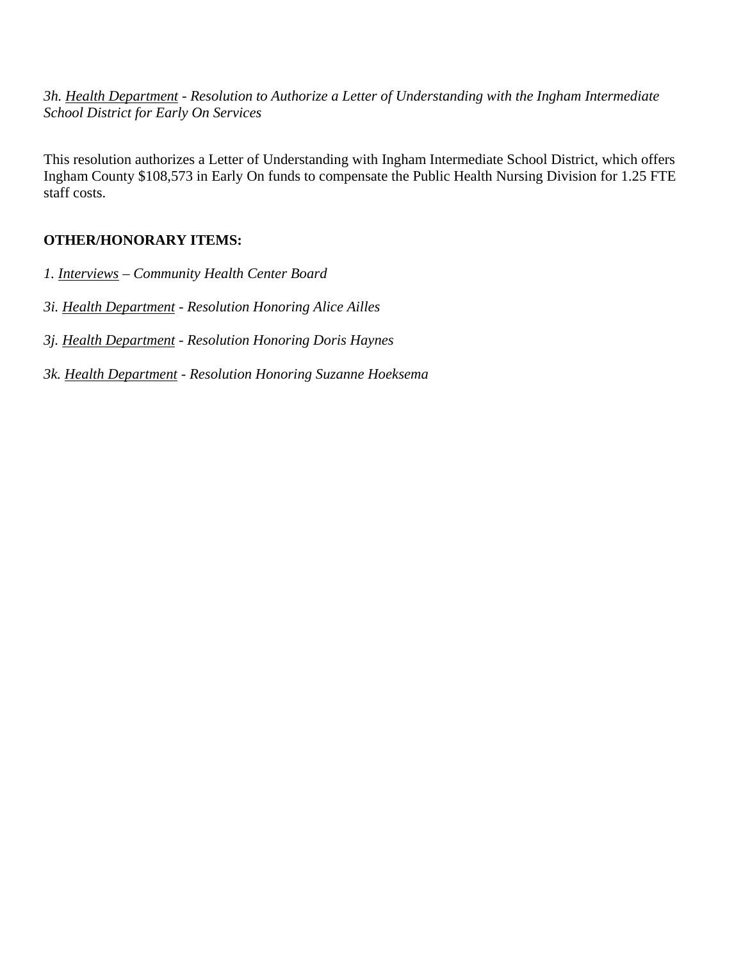*3h. Health Department - Resolution to Authorize a Letter of Understanding with the Ingham Intermediate School District for Early On Services* 

This resolution authorizes a Letter of Understanding with Ingham Intermediate School District, which offers Ingham County \$108,573 in Early On funds to compensate the Public Health Nursing Division for 1.25 FTE staff costs.

# **OTHER/HONORARY ITEMS:**

- *1. Interviews Community Health Center Board*
- *3i. Health Department Resolution Honoring Alice Ailles*
- *3j. Health Department Resolution Honoring Doris Haynes*
- *3k. Health Department Resolution Honoring Suzanne Hoeksema*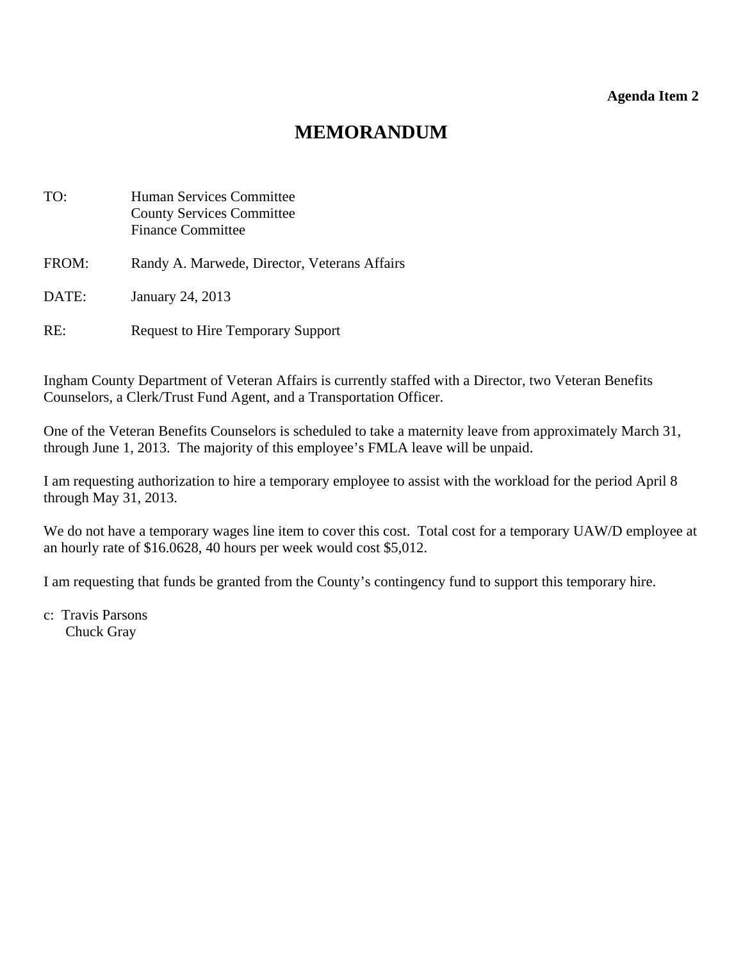#### **Agenda Item 2**

# **MEMORANDUM**

<span id="page-11-0"></span>

| TO:   | Human Services Committee<br><b>County Services Committee</b><br><b>Finance Committee</b> |
|-------|------------------------------------------------------------------------------------------|
| FROM: | Randy A. Marwede, Director, Veterans Affairs                                             |
| DATE: | January 24, 2013                                                                         |
| RE:   | <b>Request to Hire Temporary Support</b>                                                 |

Ingham County Department of Veteran Affairs is currently staffed with a Director, two Veteran Benefits Counselors, a Clerk/Trust Fund Agent, and a Transportation Officer.

One of the Veteran Benefits Counselors is scheduled to take a maternity leave from approximately March 31, through June 1, 2013. The majority of this employee's FMLA leave will be unpaid.

I am requesting authorization to hire a temporary employee to assist with the workload for the period April 8 through May 31, 2013.

We do not have a temporary wages line item to cover this cost. Total cost for a temporary UAW/D employee at an hourly rate of \$16.0628, 40 hours per week would cost \$5,012.

I am requesting that funds be granted from the County's contingency fund to support this temporary hire.

c: Travis Parsons Chuck Gray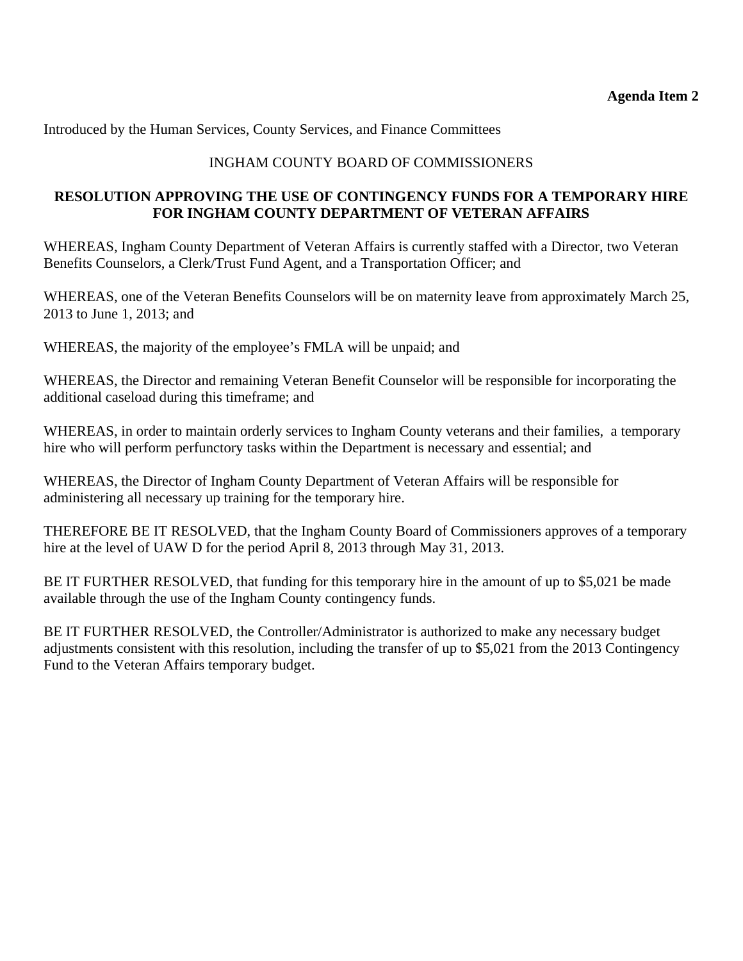Introduced by the Human Services, County Services, and Finance Committees

## INGHAM COUNTY BOARD OF COMMISSIONERS

## **RESOLUTION APPROVING THE USE OF CONTINGENCY FUNDS FOR A TEMPORARY HIRE FOR INGHAM COUNTY DEPARTMENT OF VETERAN AFFAIRS**

WHEREAS, Ingham County Department of Veteran Affairs is currently staffed with a Director, two Veteran Benefits Counselors, a Clerk/Trust Fund Agent, and a Transportation Officer; and

WHEREAS, one of the Veteran Benefits Counselors will be on maternity leave from approximately March 25, 2013 to June 1, 2013; and

WHEREAS, the majority of the employee's FMLA will be unpaid; and

WHEREAS, the Director and remaining Veteran Benefit Counselor will be responsible for incorporating the additional caseload during this timeframe; and

WHEREAS, in order to maintain orderly services to Ingham County veterans and their families, a temporary hire who will perform perfunctory tasks within the Department is necessary and essential; and

WHEREAS, the Director of Ingham County Department of Veteran Affairs will be responsible for administering all necessary up training for the temporary hire.

THEREFORE BE IT RESOLVED, that the Ingham County Board of Commissioners approves of a temporary hire at the level of UAW D for the period April 8, 2013 through May 31, 2013.

BE IT FURTHER RESOLVED, that funding for this temporary hire in the amount of up to \$5,021 be made available through the use of the Ingham County contingency funds.

BE IT FURTHER RESOLVED, the Controller/Administrator is authorized to make any necessary budget adjustments consistent with this resolution, including the transfer of up to \$5,021 from the 2013 Contingency Fund to the Veteran Affairs temporary budget.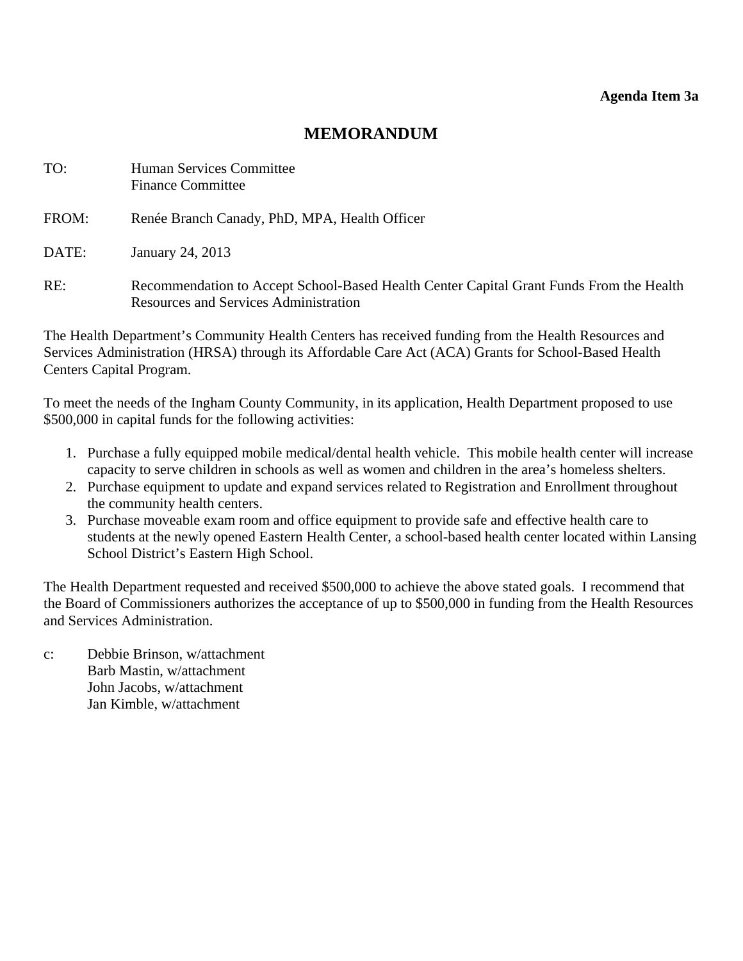#### **Agenda Item 3a**

## **MEMORANDUM**

<span id="page-13-0"></span>

| TO:   | Human Services Committee<br><b>Finance Committee</b>                                                                                    |
|-------|-----------------------------------------------------------------------------------------------------------------------------------------|
| FROM: | Renée Branch Canady, PhD, MPA, Health Officer                                                                                           |
| DATE: | January 24, 2013                                                                                                                        |
| RE:   | Recommendation to Accept School-Based Health Center Capital Grant Funds From the Health<br><b>Resources and Services Administration</b> |

The Health Department's Community Health Centers has received funding from the Health Resources and Services Administration (HRSA) through its Affordable Care Act (ACA) Grants for School-Based Health Centers Capital Program.

To meet the needs of the Ingham County Community, in its application, Health Department proposed to use \$500,000 in capital funds for the following activities:

- 1. Purchase a fully equipped mobile medical/dental health vehicle. This mobile health center will increase capacity to serve children in schools as well as women and children in the area's homeless shelters.
- 2. Purchase equipment to update and expand services related to Registration and Enrollment throughout the community health centers.
- 3. Purchase moveable exam room and office equipment to provide safe and effective health care to students at the newly opened Eastern Health Center, a school-based health center located within Lansing School District's Eastern High School.

The Health Department requested and received \$500,000 to achieve the above stated goals. I recommend that the Board of Commissioners authorizes the acceptance of up to \$500,000 in funding from the Health Resources and Services Administration.

c: Debbie Brinson, w/attachment Barb Mastin, w/attachment John Jacobs, w/attachment Jan Kimble, w/attachment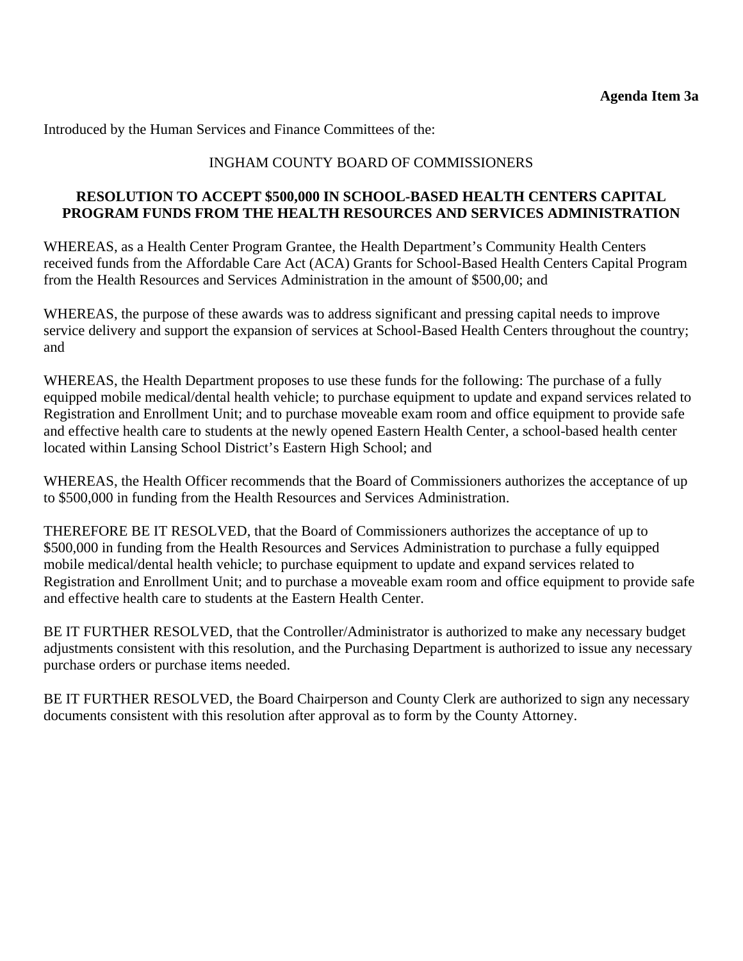Introduced by the Human Services and Finance Committees of the:

## INGHAM COUNTY BOARD OF COMMISSIONERS

### **RESOLUTION TO ACCEPT \$500,000 IN SCHOOL-BASED HEALTH CENTERS CAPITAL PROGRAM FUNDS FROM THE HEALTH RESOURCES AND SERVICES ADMINISTRATION**

WHEREAS, as a Health Center Program Grantee, the Health Department's Community Health Centers received funds from the Affordable Care Act (ACA) Grants for School-Based Health Centers Capital Program from the Health Resources and Services Administration in the amount of \$500,00; and

WHEREAS, the purpose of these awards was to address significant and pressing capital needs to improve service delivery and support the expansion of services at School-Based Health Centers throughout the country; and

WHEREAS, the Health Department proposes to use these funds for the following: The purchase of a fully equipped mobile medical/dental health vehicle; to purchase equipment to update and expand services related to Registration and Enrollment Unit; and to purchase moveable exam room and office equipment to provide safe and effective health care to students at the newly opened Eastern Health Center, a school-based health center located within Lansing School District's Eastern High School; and

WHEREAS, the Health Officer recommends that the Board of Commissioners authorizes the acceptance of up to \$500,000 in funding from the Health Resources and Services Administration.

THEREFORE BE IT RESOLVED, that the Board of Commissioners authorizes the acceptance of up to \$500,000 in funding from the Health Resources and Services Administration to purchase a fully equipped mobile medical/dental health vehicle; to purchase equipment to update and expand services related to Registration and Enrollment Unit; and to purchase a moveable exam room and office equipment to provide safe and effective health care to students at the Eastern Health Center.

BE IT FURTHER RESOLVED, that the Controller/Administrator is authorized to make any necessary budget adjustments consistent with this resolution, and the Purchasing Department is authorized to issue any necessary purchase orders or purchase items needed.

BE IT FURTHER RESOLVED, the Board Chairperson and County Clerk are authorized to sign any necessary documents consistent with this resolution after approval as to form by the County Attorney.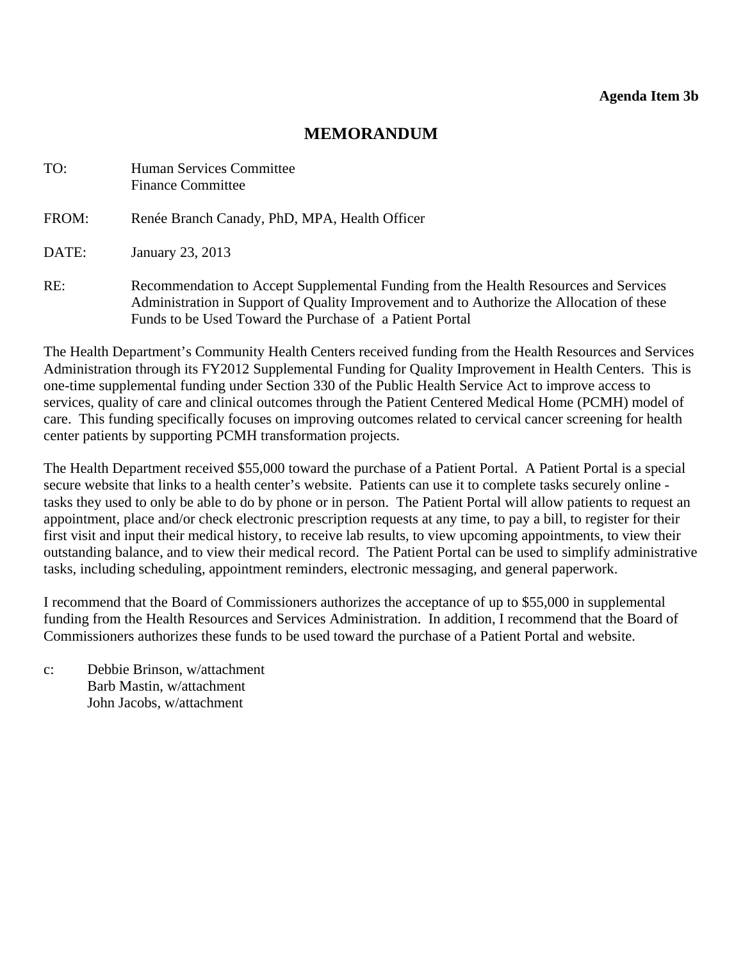# **MEMORANDUM**

<span id="page-15-0"></span>

| TO:   | Human Services Committee<br><b>Finance Committee</b>                                                                                                                                                                                          |
|-------|-----------------------------------------------------------------------------------------------------------------------------------------------------------------------------------------------------------------------------------------------|
| FROM: | Renée Branch Canady, PhD, MPA, Health Officer                                                                                                                                                                                                 |
| DATE: | January 23, 2013                                                                                                                                                                                                                              |
| RE:   | Recommendation to Accept Supplemental Funding from the Health Resources and Services<br>Administration in Support of Quality Improvement and to Authorize the Allocation of these<br>Funds to be Used Toward the Purchase of a Patient Portal |

The Health Department's Community Health Centers received funding from the Health Resources and Services Administration through its FY2012 Supplemental Funding for Quality Improvement in Health Centers. This is one-time supplemental funding under Section 330 of the Public Health Service Act to improve access to services, quality of care and clinical outcomes through the Patient Centered Medical Home (PCMH) model of care. This funding specifically focuses on improving outcomes related to cervical cancer screening for health center patients by supporting PCMH transformation projects.

The Health Department received \$55,000 toward the purchase of a Patient Portal. A Patient Portal is a special secure website that links to a health center's website. Patients can use it to complete tasks securely online tasks they used to only be able to do by phone or in person. The Patient Portal will allow patients to request an appointment, place and/or check electronic prescription requests at any time, to pay a bill, to register for their first visit and input their medical history, to receive lab results, to view upcoming appointments, to view their outstanding balance, and to view their medical record. The Patient Portal can be used to simplify administrative tasks, including scheduling, appointment reminders, electronic messaging, and general paperwork.

I recommend that the Board of Commissioners authorizes the acceptance of up to \$55,000 in supplemental funding from the Health Resources and Services Administration. In addition, I recommend that the Board of Commissioners authorizes these funds to be used toward the purchase of a Patient Portal and website.

c: Debbie Brinson, w/attachment Barb Mastin, w/attachment John Jacobs, w/attachment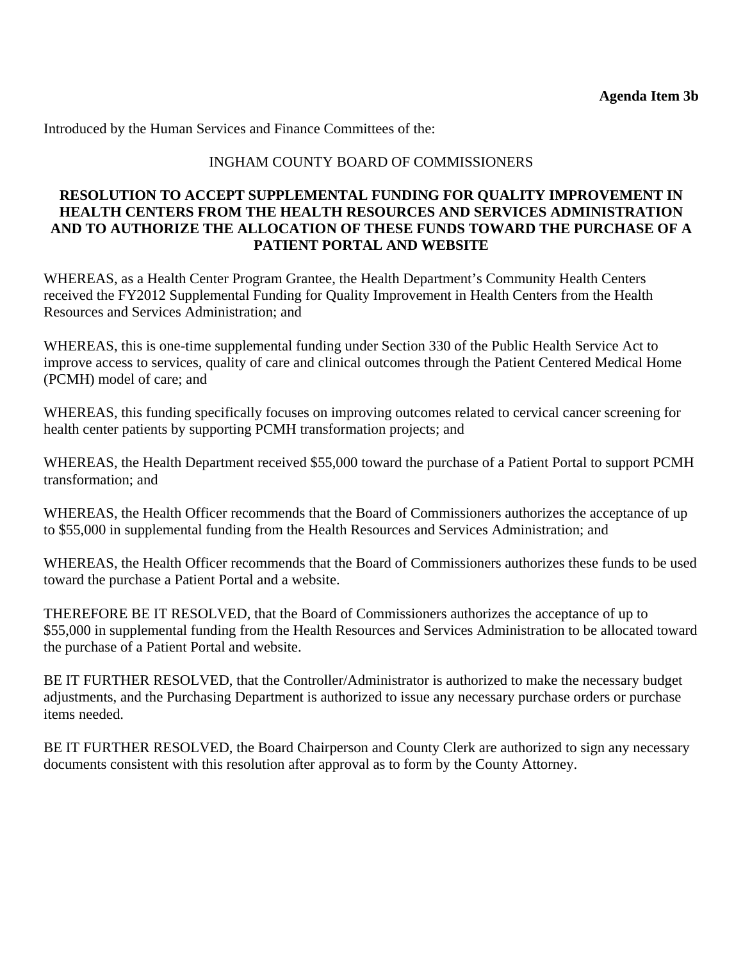Introduced by the Human Services and Finance Committees of the:

### INGHAM COUNTY BOARD OF COMMISSIONERS

### **RESOLUTION TO ACCEPT SUPPLEMENTAL FUNDING FOR QUALITY IMPROVEMENT IN HEALTH CENTERS FROM THE HEALTH RESOURCES AND SERVICES ADMINISTRATION AND TO AUTHORIZE THE ALLOCATION OF THESE FUNDS TOWARD THE PURCHASE OF A PATIENT PORTAL AND WEBSITE**

WHEREAS, as a Health Center Program Grantee, the Health Department's Community Health Centers received the FY2012 Supplemental Funding for Quality Improvement in Health Centers from the Health Resources and Services Administration; and

WHEREAS, this is one-time supplemental funding under Section 330 of the Public Health Service Act to improve access to services, quality of care and clinical outcomes through the Patient Centered Medical Home (PCMH) model of care; and

WHEREAS, this funding specifically focuses on improving outcomes related to cervical cancer screening for health center patients by supporting PCMH transformation projects; and

WHEREAS, the Health Department received \$55,000 toward the purchase of a Patient Portal to support PCMH transformation; and

WHEREAS, the Health Officer recommends that the Board of Commissioners authorizes the acceptance of up to \$55,000 in supplemental funding from the Health Resources and Services Administration; and

WHEREAS, the Health Officer recommends that the Board of Commissioners authorizes these funds to be used toward the purchase a Patient Portal and a website.

THEREFORE BE IT RESOLVED, that the Board of Commissioners authorizes the acceptance of up to \$55,000 in supplemental funding from the Health Resources and Services Administration to be allocated toward the purchase of a Patient Portal and website.

BE IT FURTHER RESOLVED, that the Controller/Administrator is authorized to make the necessary budget adjustments, and the Purchasing Department is authorized to issue any necessary purchase orders or purchase items needed.

BE IT FURTHER RESOLVED, the Board Chairperson and County Clerk are authorized to sign any necessary documents consistent with this resolution after approval as to form by the County Attorney.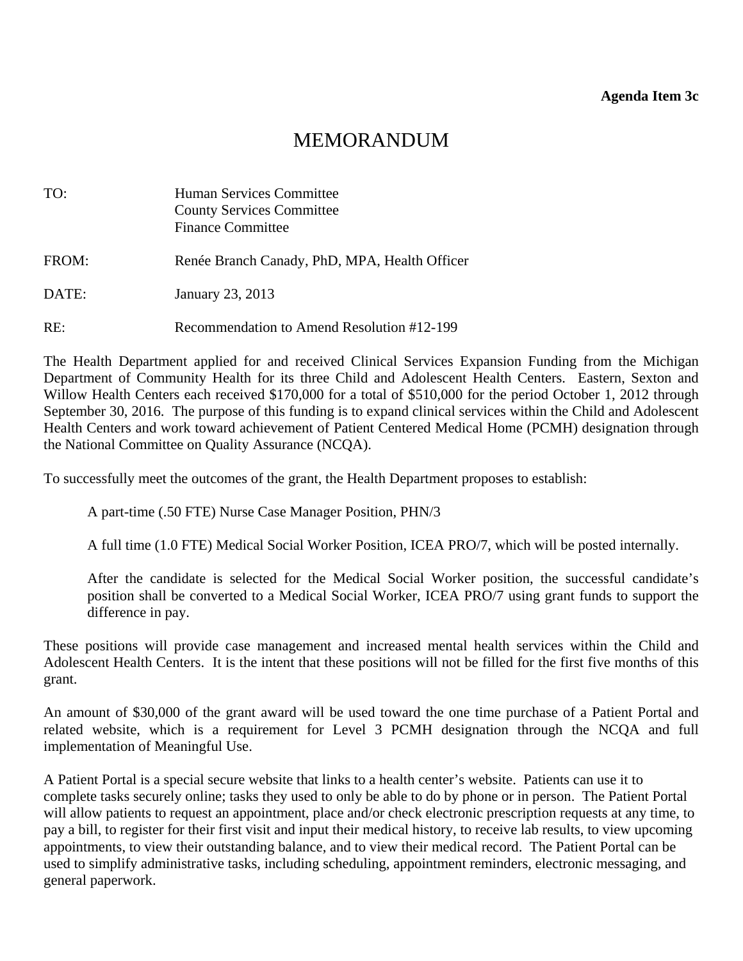# MEMORANDUM

<span id="page-17-0"></span>

| TO:   | Human Services Committee<br><b>County Services Committee</b><br><b>Finance Committee</b> |
|-------|------------------------------------------------------------------------------------------|
| FROM: | Renée Branch Canady, PhD, MPA, Health Officer                                            |
| DATE: | January 23, 2013                                                                         |
| RE:   | Recommendation to Amend Resolution #12-199                                               |

The Health Department applied for and received Clinical Services Expansion Funding from the Michigan Department of Community Health for its three Child and Adolescent Health Centers. Eastern, Sexton and Willow Health Centers each received \$170,000 for a total of \$510,000 for the period October 1, 2012 through September 30, 2016. The purpose of this funding is to expand clinical services within the Child and Adolescent Health Centers and work toward achievement of Patient Centered Medical Home (PCMH) designation through the National Committee on Quality Assurance (NCQA).

To successfully meet the outcomes of the grant, the Health Department proposes to establish:

A part-time (.50 FTE) Nurse Case Manager Position, PHN/3

A full time (1.0 FTE) Medical Social Worker Position, ICEA PRO/7, which will be posted internally.

After the candidate is selected for the Medical Social Worker position, the successful candidate's position shall be converted to a Medical Social Worker, ICEA PRO/7 using grant funds to support the difference in pay.

These positions will provide case management and increased mental health services within the Child and Adolescent Health Centers. It is the intent that these positions will not be filled for the first five months of this grant.

An amount of \$30,000 of the grant award will be used toward the one time purchase of a Patient Portal and related website, which is a requirement for Level 3 PCMH designation through the NCQA and full implementation of Meaningful Use.

A Patient Portal is a special secure website that links to a health center's website. Patients can use it to complete tasks securely online; tasks they used to only be able to do by phone or in person. The Patient Portal will allow patients to request an appointment, place and/or check electronic prescription requests at any time, to pay a bill, to register for their first visit and input their medical history, to receive lab results, to view upcoming appointments, to view their outstanding balance, and to view their medical record. The Patient Portal can be used to simplify administrative tasks, including scheduling, appointment reminders, electronic messaging, and general paperwork.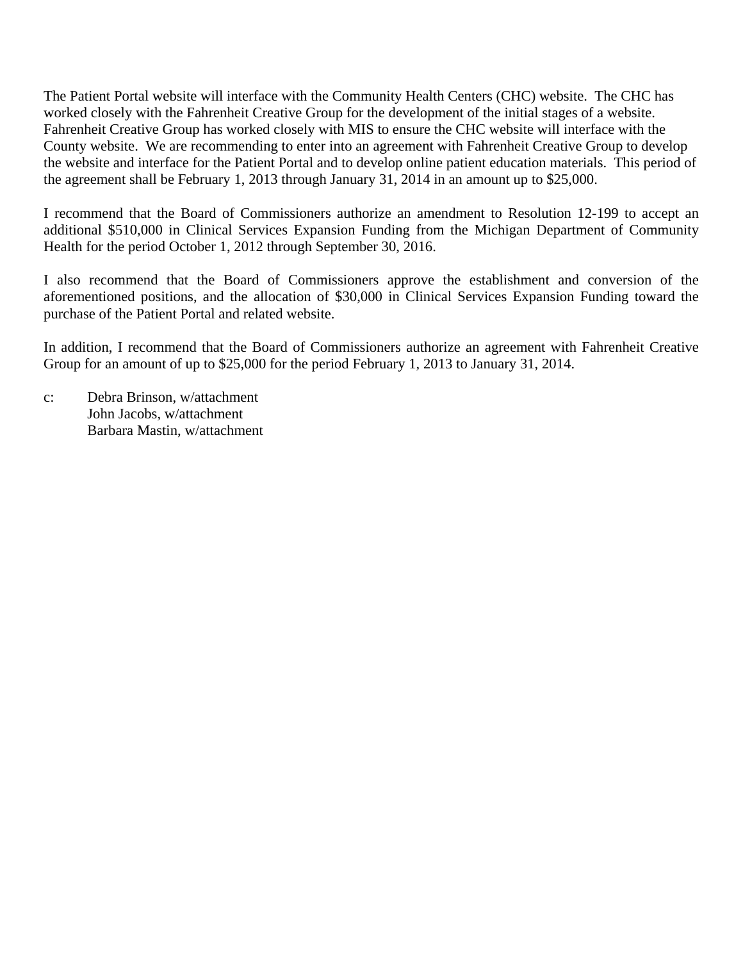The Patient Portal website will interface with the Community Health Centers (CHC) website. The CHC has worked closely with the Fahrenheit Creative Group for the development of the initial stages of a website. Fahrenheit Creative Group has worked closely with MIS to ensure the CHC website will interface with the County website. We are recommending to enter into an agreement with Fahrenheit Creative Group to develop the website and interface for the Patient Portal and to develop online patient education materials. This period of the agreement shall be February 1, 2013 through January 31, 2014 in an amount up to \$25,000.

I recommend that the Board of Commissioners authorize an amendment to Resolution 12-199 to accept an additional \$510,000 in Clinical Services Expansion Funding from the Michigan Department of Community Health for the period October 1, 2012 through September 30, 2016.

I also recommend that the Board of Commissioners approve the establishment and conversion of the aforementioned positions, and the allocation of \$30,000 in Clinical Services Expansion Funding toward the purchase of the Patient Portal and related website.

In addition, I recommend that the Board of Commissioners authorize an agreement with Fahrenheit Creative Group for an amount of up to \$25,000 for the period February 1, 2013 to January 31, 2014.

c: Debra Brinson, w/attachment John Jacobs, w/attachment Barbara Mastin, w/attachment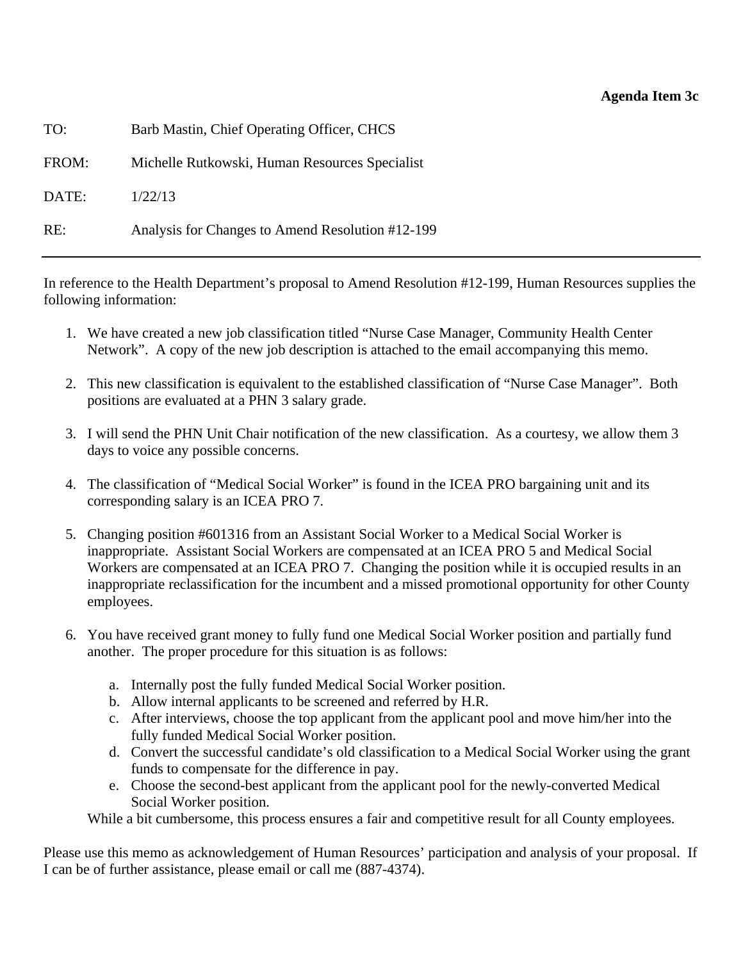#### **Agenda Item 3c**

| TO:   | Barb Mastin, Chief Operating Officer, CHCS       |
|-------|--------------------------------------------------|
| FROM: | Michelle Rutkowski, Human Resources Specialist   |
| DATE: | 1/22/13                                          |
| RE:   | Analysis for Changes to Amend Resolution #12-199 |

In reference to the Health Department's proposal to Amend Resolution #12-199, Human Resources supplies the following information:

- 1. We have created a new job classification titled "Nurse Case Manager, Community Health Center Network". A copy of the new job description is attached to the email accompanying this memo.
- 2. This new classification is equivalent to the established classification of "Nurse Case Manager". Both positions are evaluated at a PHN 3 salary grade.
- 3. I will send the PHN Unit Chair notification of the new classification. As a courtesy, we allow them 3 days to voice any possible concerns.
- 4. The classification of "Medical Social Worker" is found in the ICEA PRO bargaining unit and its corresponding salary is an ICEA PRO 7.
- 5. Changing position #601316 from an Assistant Social Worker to a Medical Social Worker is inappropriate. Assistant Social Workers are compensated at an ICEA PRO 5 and Medical Social Workers are compensated at an ICEA PRO 7. Changing the position while it is occupied results in an inappropriate reclassification for the incumbent and a missed promotional opportunity for other County employees.
- 6. You have received grant money to fully fund one Medical Social Worker position and partially fund another. The proper procedure for this situation is as follows:
	- a. Internally post the fully funded Medical Social Worker position.
	- b. Allow internal applicants to be screened and referred by H.R.
	- c. After interviews, choose the top applicant from the applicant pool and move him/her into the fully funded Medical Social Worker position.
	- d. Convert the successful candidate's old classification to a Medical Social Worker using the grant funds to compensate for the difference in pay.
	- e. Choose the second-best applicant from the applicant pool for the newly-converted Medical Social Worker position.

While a bit cumbersome, this process ensures a fair and competitive result for all County employees.

Please use this memo as acknowledgement of Human Resources' participation and analysis of your proposal. If I can be of further assistance, please email or call me (887-4374).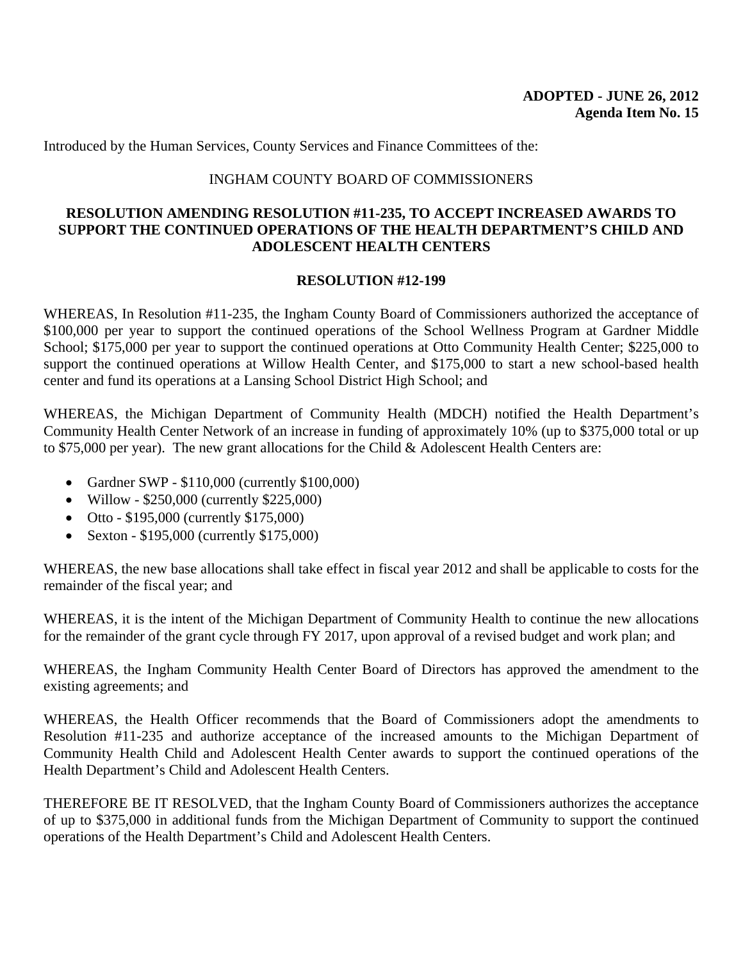Introduced by the Human Services, County Services and Finance Committees of the:

### INGHAM COUNTY BOARD OF COMMISSIONERS

#### **RESOLUTION AMENDING RESOLUTION #11-235, TO ACCEPT INCREASED AWARDS TO SUPPORT THE CONTINUED OPERATIONS OF THE HEALTH DEPARTMENT'S CHILD AND ADOLESCENT HEALTH CENTERS**

#### **RESOLUTION #12-199**

WHEREAS, In Resolution #11-235, the Ingham County Board of Commissioners authorized the acceptance of \$100,000 per year to support the continued operations of the School Wellness Program at Gardner Middle School; \$175,000 per year to support the continued operations at Otto Community Health Center; \$225,000 to support the continued operations at Willow Health Center, and \$175,000 to start a new school-based health center and fund its operations at a Lansing School District High School; and

WHEREAS, the Michigan Department of Community Health (MDCH) notified the Health Department's Community Health Center Network of an increase in funding of approximately 10% (up to \$375,000 total or up to \$75,000 per year). The new grant allocations for the Child & Adolescent Health Centers are:

- Gardner SWP \$110,000 (currently \$100,000)
- Willow \$250,000 (currently \$225,000)
- Otto \$195,000 (currently \$175,000)
- Sexton \$195,000 (currently \$175,000)

WHEREAS, the new base allocations shall take effect in fiscal year 2012 and shall be applicable to costs for the remainder of the fiscal year; and

WHEREAS, it is the intent of the Michigan Department of Community Health to continue the new allocations for the remainder of the grant cycle through FY 2017, upon approval of a revised budget and work plan; and

WHEREAS, the Ingham Community Health Center Board of Directors has approved the amendment to the existing agreements; and

WHEREAS, the Health Officer recommends that the Board of Commissioners adopt the amendments to Resolution #11-235 and authorize acceptance of the increased amounts to the Michigan Department of Community Health Child and Adolescent Health Center awards to support the continued operations of the Health Department's Child and Adolescent Health Centers.

THEREFORE BE IT RESOLVED, that the Ingham County Board of Commissioners authorizes the acceptance of up to \$375,000 in additional funds from the Michigan Department of Community to support the continued operations of the Health Department's Child and Adolescent Health Centers.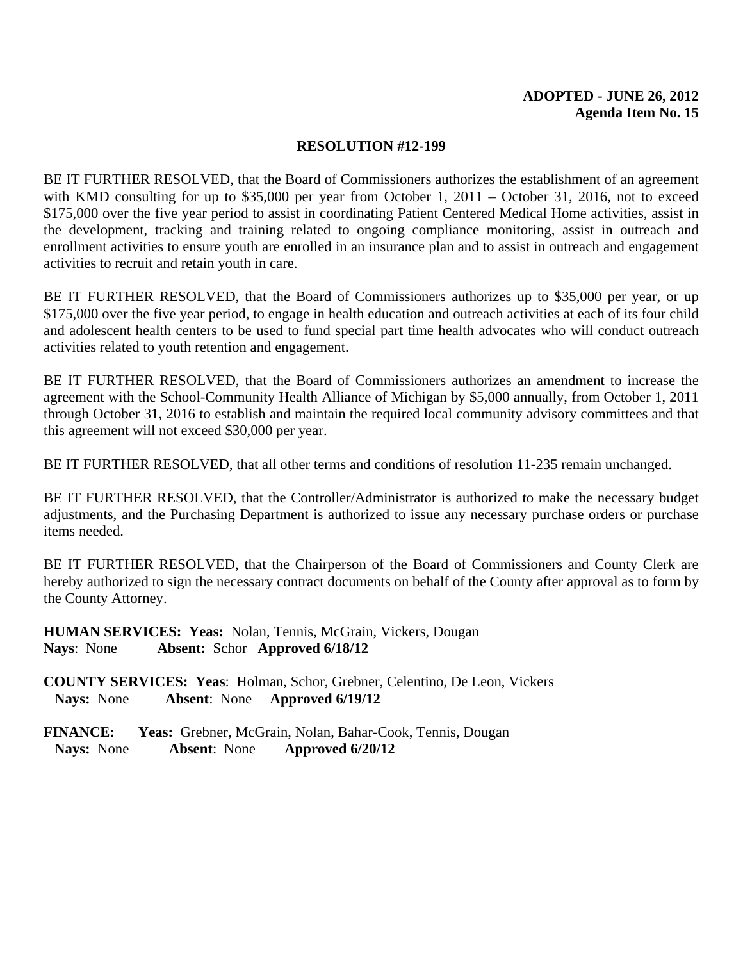#### **RESOLUTION #12-199**

BE IT FURTHER RESOLVED, that the Board of Commissioners authorizes the establishment of an agreement with KMD consulting for up to \$35,000 per year from October 1, 2011 – October 31, 2016, not to exceed \$175,000 over the five year period to assist in coordinating Patient Centered Medical Home activities, assist in the development, tracking and training related to ongoing compliance monitoring, assist in outreach and enrollment activities to ensure youth are enrolled in an insurance plan and to assist in outreach and engagement activities to recruit and retain youth in care.

BE IT FURTHER RESOLVED, that the Board of Commissioners authorizes up to \$35,000 per year, or up \$175,000 over the five year period, to engage in health education and outreach activities at each of its four child and adolescent health centers to be used to fund special part time health advocates who will conduct outreach activities related to youth retention and engagement.

BE IT FURTHER RESOLVED, that the Board of Commissioners authorizes an amendment to increase the agreement with the School-Community Health Alliance of Michigan by \$5,000 annually, from October 1, 2011 through October 31, 2016 to establish and maintain the required local community advisory committees and that this agreement will not exceed \$30,000 per year.

BE IT FURTHER RESOLVED, that all other terms and conditions of resolution 11-235 remain unchanged.

BE IT FURTHER RESOLVED, that the Controller/Administrator is authorized to make the necessary budget adjustments, and the Purchasing Department is authorized to issue any necessary purchase orders or purchase items needed.

BE IT FURTHER RESOLVED, that the Chairperson of the Board of Commissioners and County Clerk are hereby authorized to sign the necessary contract documents on behalf of the County after approval as to form by the County Attorney.

**HUMAN SERVICES: Yeas:** Nolan, Tennis, McGrain, Vickers, Dougan **Nays**: None **Absent:** Schor **Approved 6/18/12** 

**COUNTY SERVICES: Yeas**: Holman, Schor, Grebner, Celentino, De Leon, Vickers **Nays:** None **Absent**: None **Approved 6/19/12**

**FINANCE: Yeas:** Grebner, McGrain, Nolan, Bahar-Cook, Tennis, Dougan **Nays:** None **Absent**: None **Approved 6/20/12**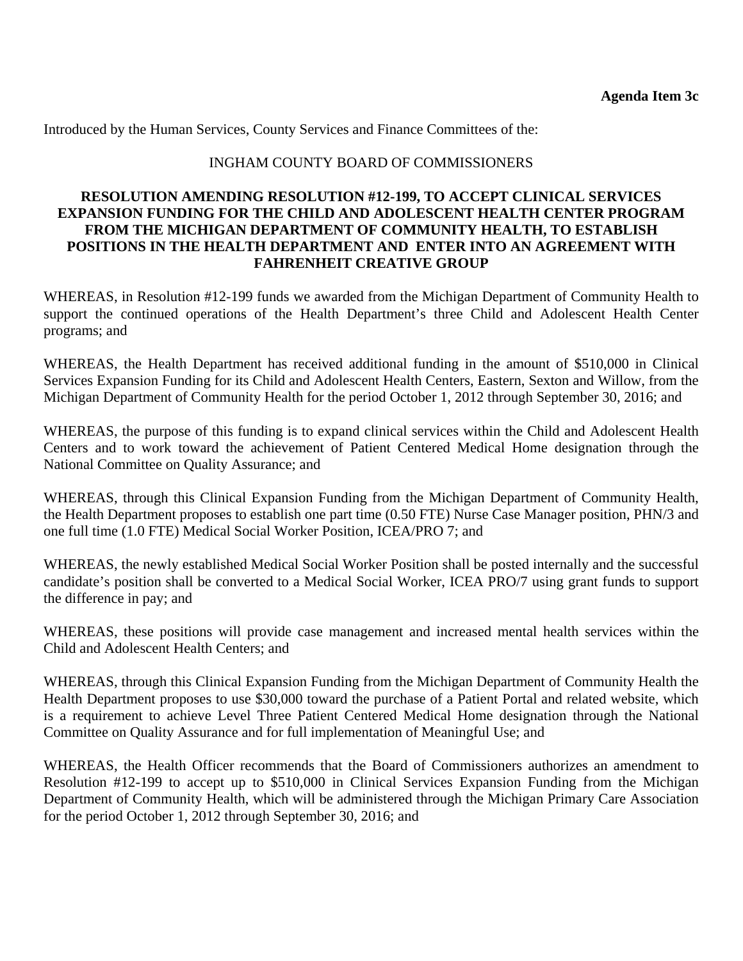Introduced by the Human Services, County Services and Finance Committees of the:

### INGHAM COUNTY BOARD OF COMMISSIONERS

### **RESOLUTION AMENDING RESOLUTION #12-199, TO ACCEPT CLINICAL SERVICES EXPANSION FUNDING FOR THE CHILD AND ADOLESCENT HEALTH CENTER PROGRAM FROM THE MICHIGAN DEPARTMENT OF COMMUNITY HEALTH, TO ESTABLISH POSITIONS IN THE HEALTH DEPARTMENT AND ENTER INTO AN AGREEMENT WITH FAHRENHEIT CREATIVE GROUP**

WHEREAS, in Resolution #12-199 funds we awarded from the Michigan Department of Community Health to support the continued operations of the Health Department's three Child and Adolescent Health Center programs; and

WHEREAS, the Health Department has received additional funding in the amount of \$510,000 in Clinical Services Expansion Funding for its Child and Adolescent Health Centers, Eastern, Sexton and Willow, from the Michigan Department of Community Health for the period October 1, 2012 through September 30, 2016; and

WHEREAS, the purpose of this funding is to expand clinical services within the Child and Adolescent Health Centers and to work toward the achievement of Patient Centered Medical Home designation through the National Committee on Quality Assurance; and

WHEREAS, through this Clinical Expansion Funding from the Michigan Department of Community Health, the Health Department proposes to establish one part time (0.50 FTE) Nurse Case Manager position, PHN/3 and one full time (1.0 FTE) Medical Social Worker Position, ICEA/PRO 7; and

WHEREAS, the newly established Medical Social Worker Position shall be posted internally and the successful candidate's position shall be converted to a Medical Social Worker, ICEA PRO/7 using grant funds to support the difference in pay; and

WHEREAS, these positions will provide case management and increased mental health services within the Child and Adolescent Health Centers; and

WHEREAS, through this Clinical Expansion Funding from the Michigan Department of Community Health the Health Department proposes to use \$30,000 toward the purchase of a Patient Portal and related website, which is a requirement to achieve Level Three Patient Centered Medical Home designation through the National Committee on Quality Assurance and for full implementation of Meaningful Use; and

WHEREAS, the Health Officer recommends that the Board of Commissioners authorizes an amendment to Resolution #12-199 to accept up to \$510,000 in Clinical Services Expansion Funding from the Michigan Department of Community Health, which will be administered through the Michigan Primary Care Association for the period October 1, 2012 through September 30, 2016; and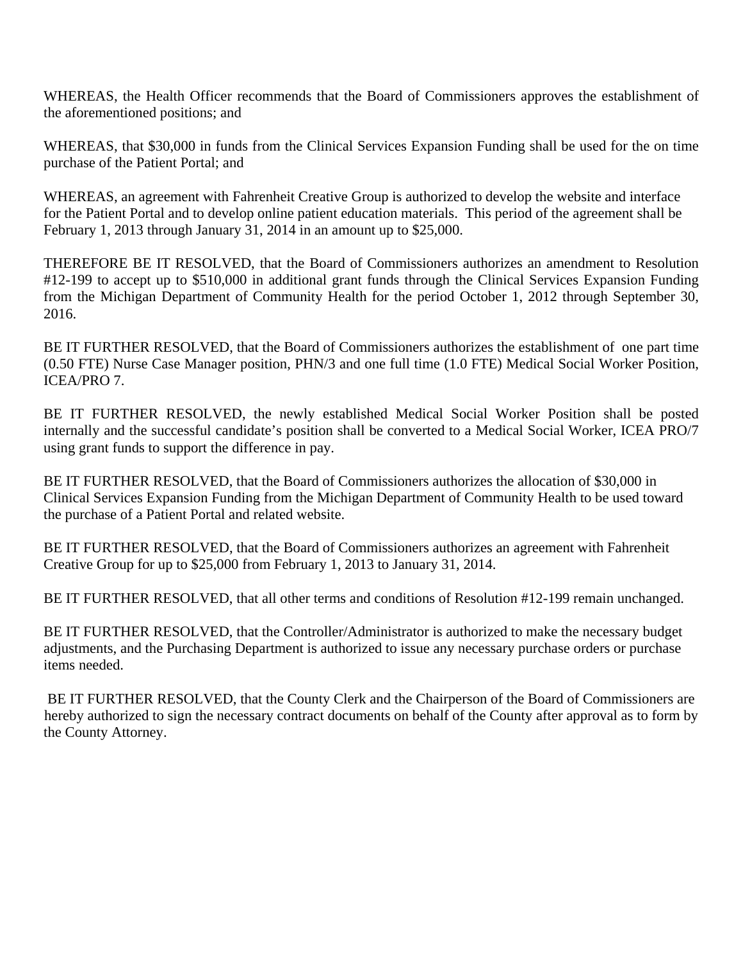WHEREAS, the Health Officer recommends that the Board of Commissioners approves the establishment of the aforementioned positions; and

WHEREAS, that \$30,000 in funds from the Clinical Services Expansion Funding shall be used for the on time purchase of the Patient Portal; and

WHEREAS, an agreement with Fahrenheit Creative Group is authorized to develop the website and interface for the Patient Portal and to develop online patient education materials. This period of the agreement shall be February 1, 2013 through January 31, 2014 in an amount up to \$25,000.

THEREFORE BE IT RESOLVED, that the Board of Commissioners authorizes an amendment to Resolution #12-199 to accept up to \$510,000 in additional grant funds through the Clinical Services Expansion Funding from the Michigan Department of Community Health for the period October 1, 2012 through September 30, 2016.

BE IT FURTHER RESOLVED, that the Board of Commissioners authorizes the establishment of one part time (0.50 FTE) Nurse Case Manager position, PHN/3 and one full time (1.0 FTE) Medical Social Worker Position, ICEA/PRO 7.

BE IT FURTHER RESOLVED, the newly established Medical Social Worker Position shall be posted internally and the successful candidate's position shall be converted to a Medical Social Worker, ICEA PRO/7 using grant funds to support the difference in pay.

BE IT FURTHER RESOLVED, that the Board of Commissioners authorizes the allocation of \$30,000 in Clinical Services Expansion Funding from the Michigan Department of Community Health to be used toward the purchase of a Patient Portal and related website.

BE IT FURTHER RESOLVED, that the Board of Commissioners authorizes an agreement with Fahrenheit Creative Group for up to \$25,000 from February 1, 2013 to January 31, 2014.

BE IT FURTHER RESOLVED, that all other terms and conditions of Resolution #12-199 remain unchanged.

BE IT FURTHER RESOLVED, that the Controller/Administrator is authorized to make the necessary budget adjustments, and the Purchasing Department is authorized to issue any necessary purchase orders or purchase items needed.

BE IT FURTHER RESOLVED, that the County Clerk and the Chairperson of the Board of Commissioners are hereby authorized to sign the necessary contract documents on behalf of the County after approval as to form by the County Attorney.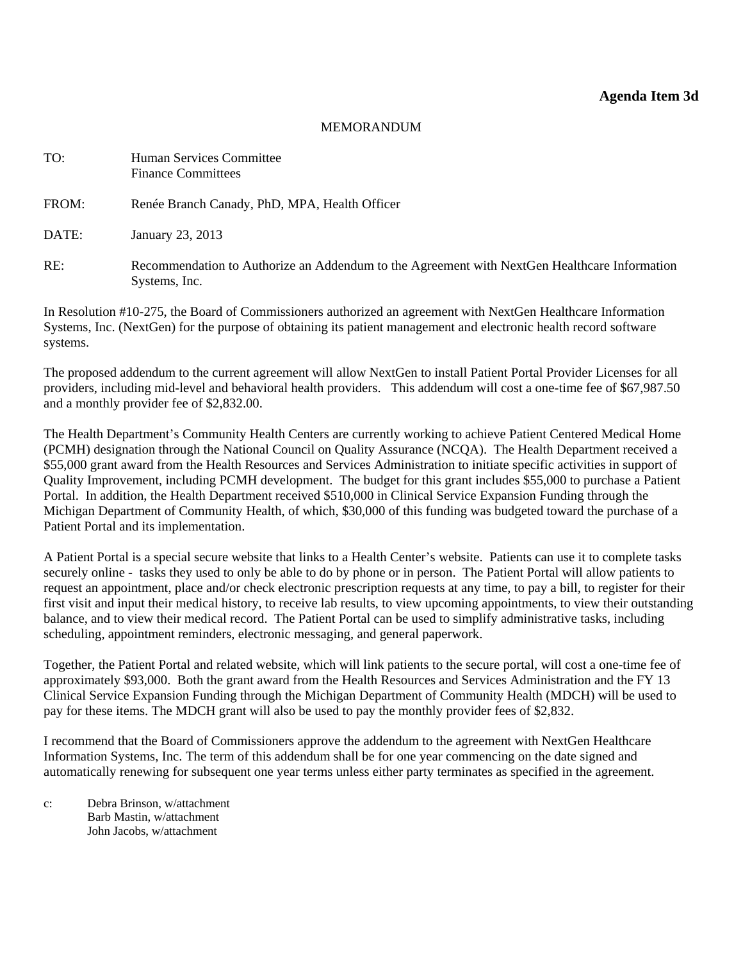#### **Agenda Item 3d**

#### MEMORANDUM

<span id="page-24-0"></span>

| TO:   | Human Services Committee<br><b>Finance Committees</b>                                                         |
|-------|---------------------------------------------------------------------------------------------------------------|
| FROM: | Renée Branch Canady, PhD, MPA, Health Officer                                                                 |
| DATE: | January 23, 2013                                                                                              |
| RE:   | Recommendation to Authorize an Addendum to the Agreement with NextGen Healthcare Information<br>Systems, Inc. |

In Resolution #10-275, the Board of Commissioners authorized an agreement with NextGen Healthcare Information Systems, Inc. (NextGen) for the purpose of obtaining its patient management and electronic health record software systems.

The proposed addendum to the current agreement will allow NextGen to install Patient Portal Provider Licenses for all providers, including mid-level and behavioral health providers. This addendum will cost a one-time fee of \$67,987.50 and a monthly provider fee of \$2,832.00.

The Health Department's Community Health Centers are currently working to achieve Patient Centered Medical Home (PCMH) designation through the National Council on Quality Assurance (NCQA). The Health Department received a \$55,000 grant award from the Health Resources and Services Administration to initiate specific activities in support of Quality Improvement, including PCMH development. The budget for this grant includes \$55,000 to purchase a Patient Portal. In addition, the Health Department received \$510,000 in Clinical Service Expansion Funding through the Michigan Department of Community Health, of which, \$30,000 of this funding was budgeted toward the purchase of a Patient Portal and its implementation.

A Patient Portal is a special secure website that links to a Health Center's website. Patients can use it to complete tasks securely online - tasks they used to only be able to do by phone or in person. The Patient Portal will allow patients to request an appointment, place and/or check electronic prescription requests at any time, to pay a bill, to register for their first visit and input their medical history, to receive lab results, to view upcoming appointments, to view their outstanding balance, and to view their medical record. The Patient Portal can be used to simplify administrative tasks, including scheduling, appointment reminders, electronic messaging, and general paperwork.

Together, the Patient Portal and related website, which will link patients to the secure portal, will cost a one-time fee of approximately \$93,000. Both the grant award from the Health Resources and Services Administration and the FY 13 Clinical Service Expansion Funding through the Michigan Department of Community Health (MDCH) will be used to pay for these items. The MDCH grant will also be used to pay the monthly provider fees of \$2,832.

I recommend that the Board of Commissioners approve the addendum to the agreement with NextGen Healthcare Information Systems, Inc. The term of this addendum shall be for one year commencing on the date signed and automatically renewing for subsequent one year terms unless either party terminates as specified in the agreement.

c: Debra Brinson, w/attachment Barb Mastin, w/attachment John Jacobs, w/attachment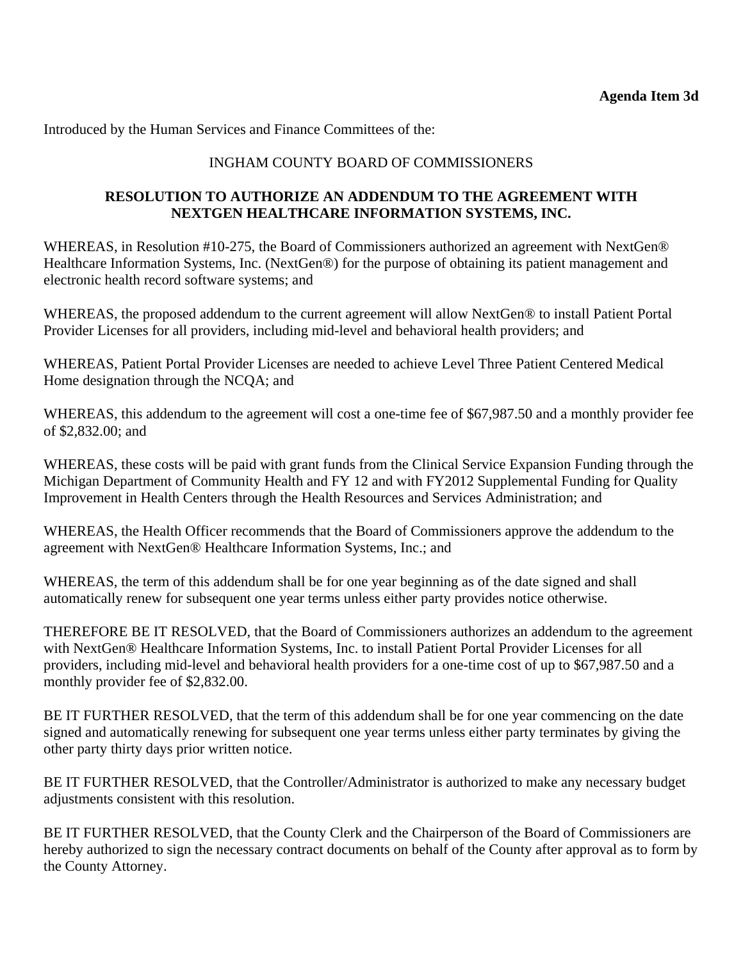Introduced by the Human Services and Finance Committees of the:

## INGHAM COUNTY BOARD OF COMMISSIONERS

## **RESOLUTION TO AUTHORIZE AN ADDENDUM TO THE AGREEMENT WITH NEXTGEN HEALTHCARE INFORMATION SYSTEMS, INC.**

WHEREAS, in Resolution #10-275, the Board of Commissioners authorized an agreement with NextGen® Healthcare Information Systems, Inc. (NextGen®) for the purpose of obtaining its patient management and electronic health record software systems; and

WHEREAS, the proposed addendum to the current agreement will allow NextGen® to install Patient Portal Provider Licenses for all providers, including mid-level and behavioral health providers; and

WHEREAS, Patient Portal Provider Licenses are needed to achieve Level Three Patient Centered Medical Home designation through the NCQA; and

WHEREAS, this addendum to the agreement will cost a one-time fee of \$67,987.50 and a monthly provider fee of \$2,832.00; and

WHEREAS, these costs will be paid with grant funds from the Clinical Service Expansion Funding through the Michigan Department of Community Health and FY 12 and with FY2012 Supplemental Funding for Quality Improvement in Health Centers through the Health Resources and Services Administration; and

WHEREAS, the Health Officer recommends that the Board of Commissioners approve the addendum to the agreement with NextGen® Healthcare Information Systems, Inc.; and

WHEREAS, the term of this addendum shall be for one year beginning as of the date signed and shall automatically renew for subsequent one year terms unless either party provides notice otherwise.

THEREFORE BE IT RESOLVED, that the Board of Commissioners authorizes an addendum to the agreement with NextGen® Healthcare Information Systems, Inc. to install Patient Portal Provider Licenses for all providers, including mid-level and behavioral health providers for a one-time cost of up to \$67,987.50 and a monthly provider fee of \$2,832.00.

BE IT FURTHER RESOLVED, that the term of this addendum shall be for one year commencing on the date signed and automatically renewing for subsequent one year terms unless either party terminates by giving the other party thirty days prior written notice.

BE IT FURTHER RESOLVED, that the Controller/Administrator is authorized to make any necessary budget adjustments consistent with this resolution.

BE IT FURTHER RESOLVED, that the County Clerk and the Chairperson of the Board of Commissioners are hereby authorized to sign the necessary contract documents on behalf of the County after approval as to form by the County Attorney.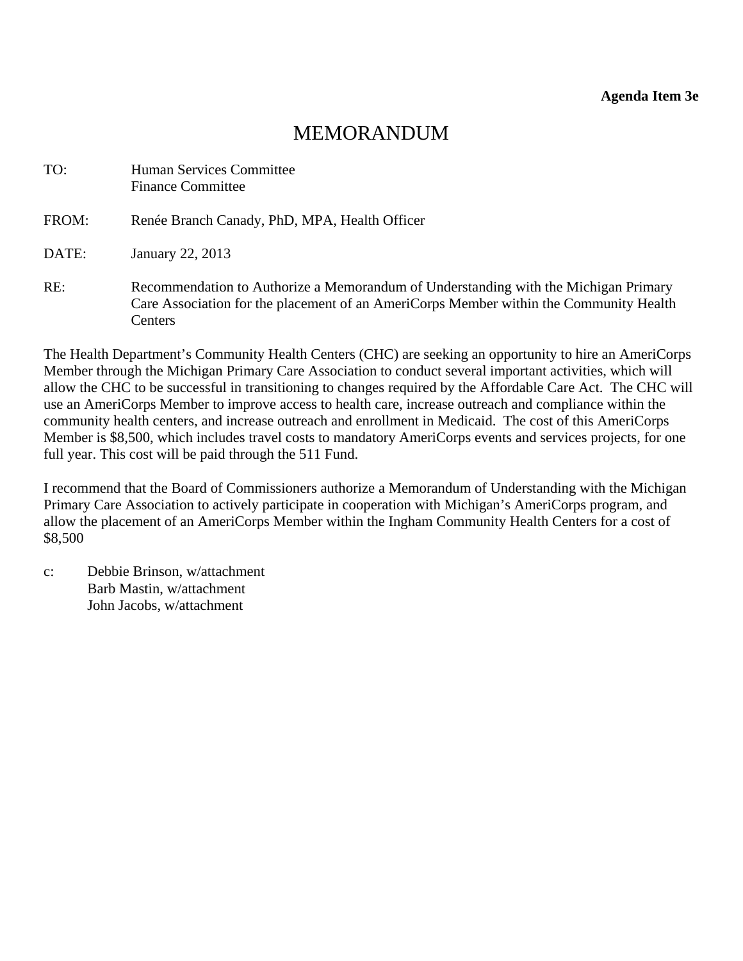# MEMORANDUM

<span id="page-26-0"></span>

| TO:   | Human Services Committee<br><b>Finance Committee</b>                                                                                                                                     |
|-------|------------------------------------------------------------------------------------------------------------------------------------------------------------------------------------------|
| FROM: | Renée Branch Canady, PhD, MPA, Health Officer                                                                                                                                            |
| DATE: | January 22, 2013                                                                                                                                                                         |
| RE:   | Recommendation to Authorize a Memorandum of Understanding with the Michigan Primary<br>Care Association for the placement of an AmeriCorps Member within the Community Health<br>Centers |

The Health Department's Community Health Centers (CHC) are seeking an opportunity to hire an AmeriCorps Member through the Michigan Primary Care Association to conduct several important activities, which will allow the CHC to be successful in transitioning to changes required by the Affordable Care Act. The CHC will use an AmeriCorps Member to improve access to health care, increase outreach and compliance within the community health centers, and increase outreach and enrollment in Medicaid. The cost of this AmeriCorps Member is \$8,500, which includes travel costs to mandatory AmeriCorps events and services projects, for one full year. This cost will be paid through the 511 Fund.

I recommend that the Board of Commissioners authorize a Memorandum of Understanding with the Michigan Primary Care Association to actively participate in cooperation with Michigan's AmeriCorps program, and allow the placement of an AmeriCorps Member within the Ingham Community Health Centers for a cost of \$8,500

c: Debbie Brinson, w/attachment Barb Mastin, w/attachment John Jacobs, w/attachment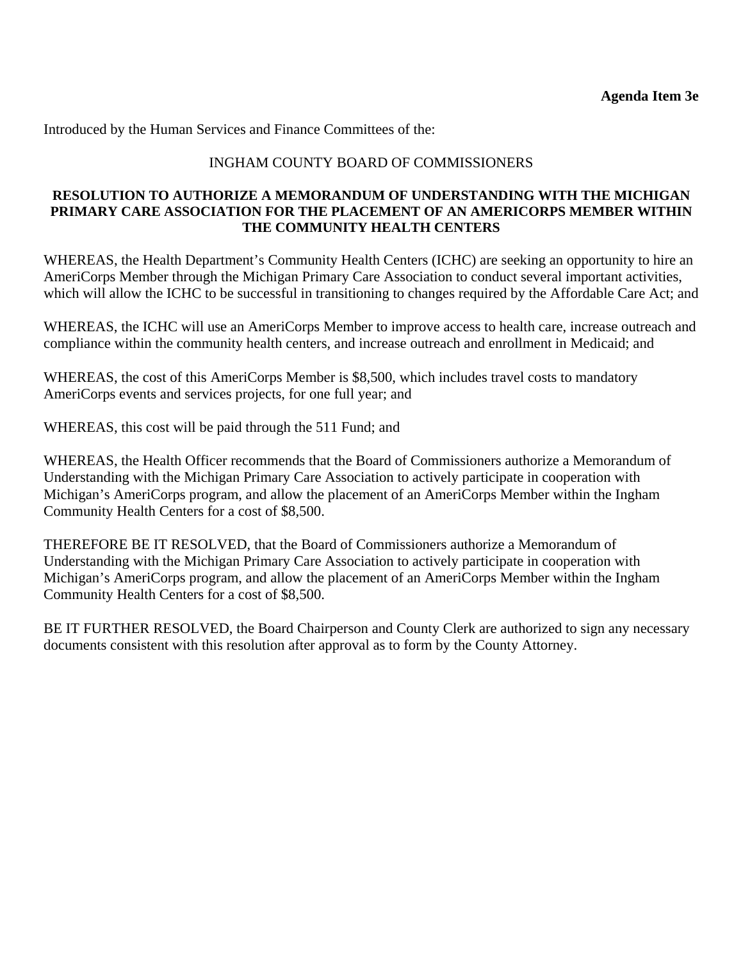Introduced by the Human Services and Finance Committees of the:

## INGHAM COUNTY BOARD OF COMMISSIONERS

#### **RESOLUTION TO AUTHORIZE A MEMORANDUM OF UNDERSTANDING WITH THE MICHIGAN PRIMARY CARE ASSOCIATION FOR THE PLACEMENT OF AN AMERICORPS MEMBER WITHIN THE COMMUNITY HEALTH CENTERS**

WHEREAS, the Health Department's Community Health Centers (ICHC) are seeking an opportunity to hire an AmeriCorps Member through the Michigan Primary Care Association to conduct several important activities, which will allow the ICHC to be successful in transitioning to changes required by the Affordable Care Act; and

WHEREAS, the ICHC will use an AmeriCorps Member to improve access to health care, increase outreach and compliance within the community health centers, and increase outreach and enrollment in Medicaid; and

WHEREAS, the cost of this AmeriCorps Member is \$8,500, which includes travel costs to mandatory AmeriCorps events and services projects, for one full year; and

WHEREAS, this cost will be paid through the 511 Fund; and

WHEREAS, the Health Officer recommends that the Board of Commissioners authorize a Memorandum of Understanding with the Michigan Primary Care Association to actively participate in cooperation with Michigan's AmeriCorps program, and allow the placement of an AmeriCorps Member within the Ingham Community Health Centers for a cost of \$8,500.

THEREFORE BE IT RESOLVED, that the Board of Commissioners authorize a Memorandum of Understanding with the Michigan Primary Care Association to actively participate in cooperation with Michigan's AmeriCorps program, and allow the placement of an AmeriCorps Member within the Ingham Community Health Centers for a cost of \$8,500.

BE IT FURTHER RESOLVED, the Board Chairperson and County Clerk are authorized to sign any necessary documents consistent with this resolution after approval as to form by the County Attorney.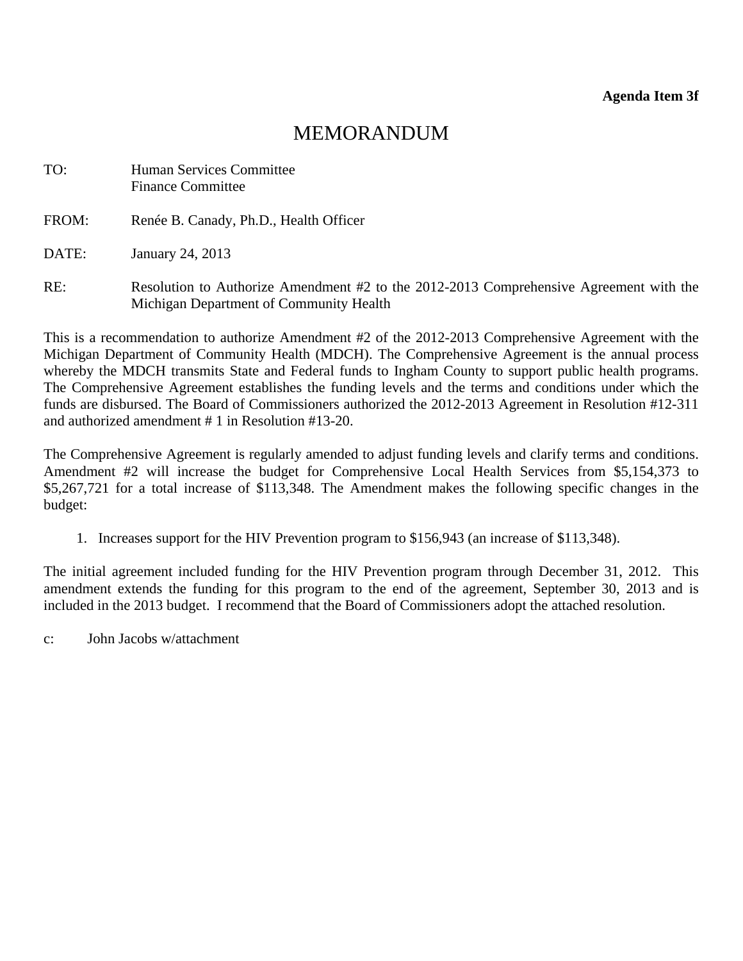# MEMORANDUM

<span id="page-28-0"></span>

| TO: | <b>Human Services Committee</b> |
|-----|---------------------------------|
|     | <b>Finance Committee</b>        |

FROM: Renée B. Canady, Ph.D., Health Officer

DATE: January 24, 2013

RE: Resolution to Authorize Amendment #2 to the 2012-2013 Comprehensive Agreement with the Michigan Department of Community Health

This is a recommendation to authorize Amendment #2 of the 2012-2013 Comprehensive Agreement with the Michigan Department of Community Health (MDCH). The Comprehensive Agreement is the annual process whereby the MDCH transmits State and Federal funds to Ingham County to support public health programs. The Comprehensive Agreement establishes the funding levels and the terms and conditions under which the funds are disbursed. The Board of Commissioners authorized the 2012-2013 Agreement in Resolution #12-311 and authorized amendment # 1 in Resolution #13-20.

The Comprehensive Agreement is regularly amended to adjust funding levels and clarify terms and conditions. Amendment #2 will increase the budget for Comprehensive Local Health Services from \$5,154,373 to \$5,267,721 for a total increase of \$113,348. The Amendment makes the following specific changes in the budget:

1. Increases support for the HIV Prevention program to \$156,943 (an increase of \$113,348).

The initial agreement included funding for the HIV Prevention program through December 31, 2012. This amendment extends the funding for this program to the end of the agreement, September 30, 2013 and is included in the 2013 budget. I recommend that the Board of Commissioners adopt the attached resolution.

c: John Jacobs w/attachment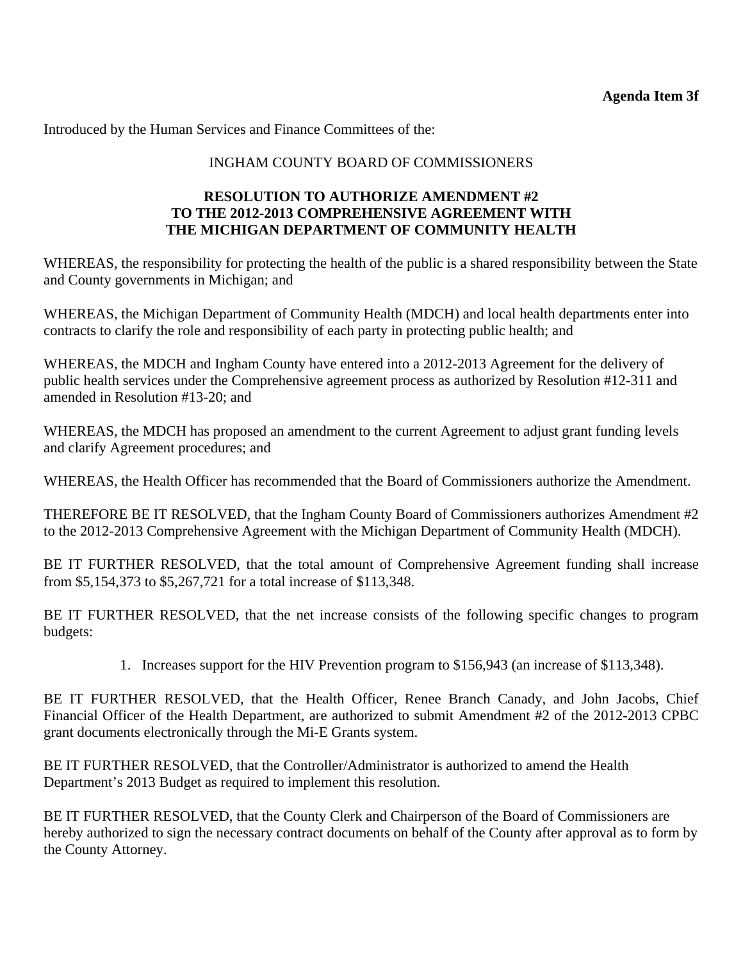Introduced by the Human Services and Finance Committees of the:

## INGHAM COUNTY BOARD OF COMMISSIONERS

### **RESOLUTION TO AUTHORIZE AMENDMENT #2 TO THE 2012-2013 COMPREHENSIVE AGREEMENT WITH THE MICHIGAN DEPARTMENT OF COMMUNITY HEALTH**

WHEREAS, the responsibility for protecting the health of the public is a shared responsibility between the State and County governments in Michigan; and

WHEREAS, the Michigan Department of Community Health (MDCH) and local health departments enter into contracts to clarify the role and responsibility of each party in protecting public health; and

WHEREAS, the MDCH and Ingham County have entered into a 2012-2013 Agreement for the delivery of public health services under the Comprehensive agreement process as authorized by Resolution #12-311 and amended in Resolution #13-20; and

WHEREAS, the MDCH has proposed an amendment to the current Agreement to adjust grant funding levels and clarify Agreement procedures; and

WHEREAS, the Health Officer has recommended that the Board of Commissioners authorize the Amendment.

THEREFORE BE IT RESOLVED, that the Ingham County Board of Commissioners authorizes Amendment #2 to the 2012-2013 Comprehensive Agreement with the Michigan Department of Community Health (MDCH).

BE IT FURTHER RESOLVED, that the total amount of Comprehensive Agreement funding shall increase from \$5,154,373 to \$5,267,721 for a total increase of \$113,348.

BE IT FURTHER RESOLVED, that the net increase consists of the following specific changes to program budgets:

1. Increases support for the HIV Prevention program to \$156,943 (an increase of \$113,348).

BE IT FURTHER RESOLVED, that the Health Officer, Renee Branch Canady, and John Jacobs, Chief Financial Officer of the Health Department, are authorized to submit Amendment #2 of the 2012-2013 CPBC grant documents electronically through the Mi-E Grants system.

BE IT FURTHER RESOLVED, that the Controller/Administrator is authorized to amend the Health Department's 2013 Budget as required to implement this resolution.

BE IT FURTHER RESOLVED, that the County Clerk and Chairperson of the Board of Commissioners are hereby authorized to sign the necessary contract documents on behalf of the County after approval as to form by the County Attorney.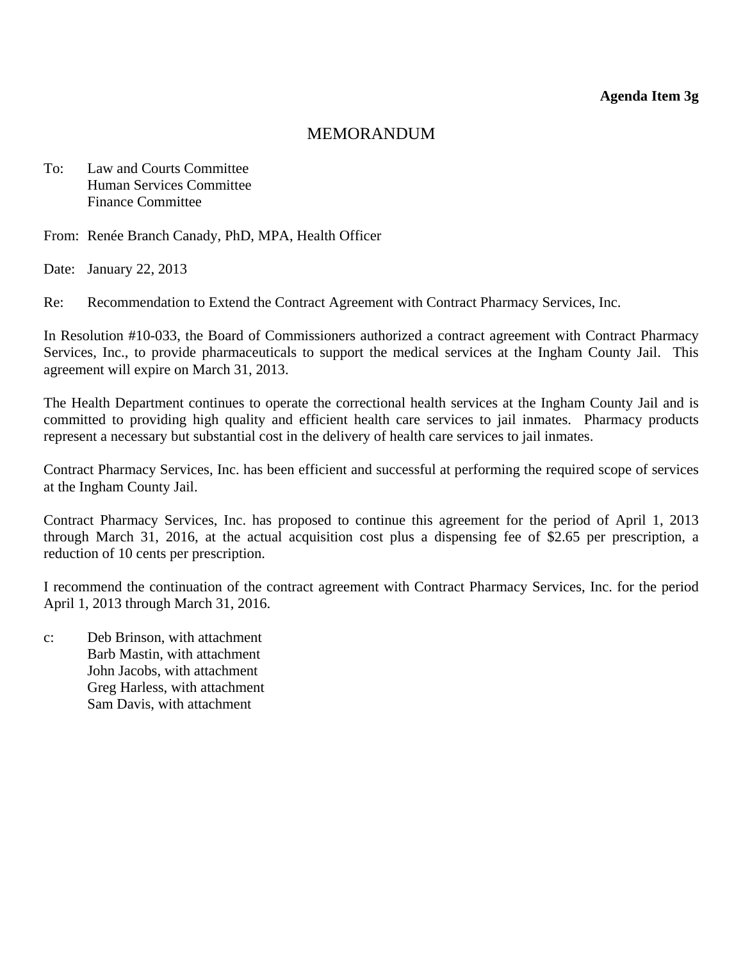## MEMORANDUM

<span id="page-30-0"></span>To: Law and Courts Committee Human Services Committee Finance Committee

From: Renée Branch Canady, PhD, MPA, Health Officer

Date: January 22, 2013

Re: Recommendation to Extend the Contract Agreement with Contract Pharmacy Services, Inc.

In Resolution #10-033, the Board of Commissioners authorized a contract agreement with Contract Pharmacy Services, Inc., to provide pharmaceuticals to support the medical services at the Ingham County Jail. This agreement will expire on March 31, 2013.

The Health Department continues to operate the correctional health services at the Ingham County Jail and is committed to providing high quality and efficient health care services to jail inmates. Pharmacy products represent a necessary but substantial cost in the delivery of health care services to jail inmates.

Contract Pharmacy Services, Inc. has been efficient and successful at performing the required scope of services at the Ingham County Jail.

Contract Pharmacy Services, Inc. has proposed to continue this agreement for the period of April 1, 2013 through March 31, 2016, at the actual acquisition cost plus a dispensing fee of \$2.65 per prescription, a reduction of 10 cents per prescription.

I recommend the continuation of the contract agreement with Contract Pharmacy Services, Inc. for the period April 1, 2013 through March 31, 2016.

c: Deb Brinson, with attachment Barb Mastin, with attachment John Jacobs, with attachment Greg Harless, with attachment Sam Davis, with attachment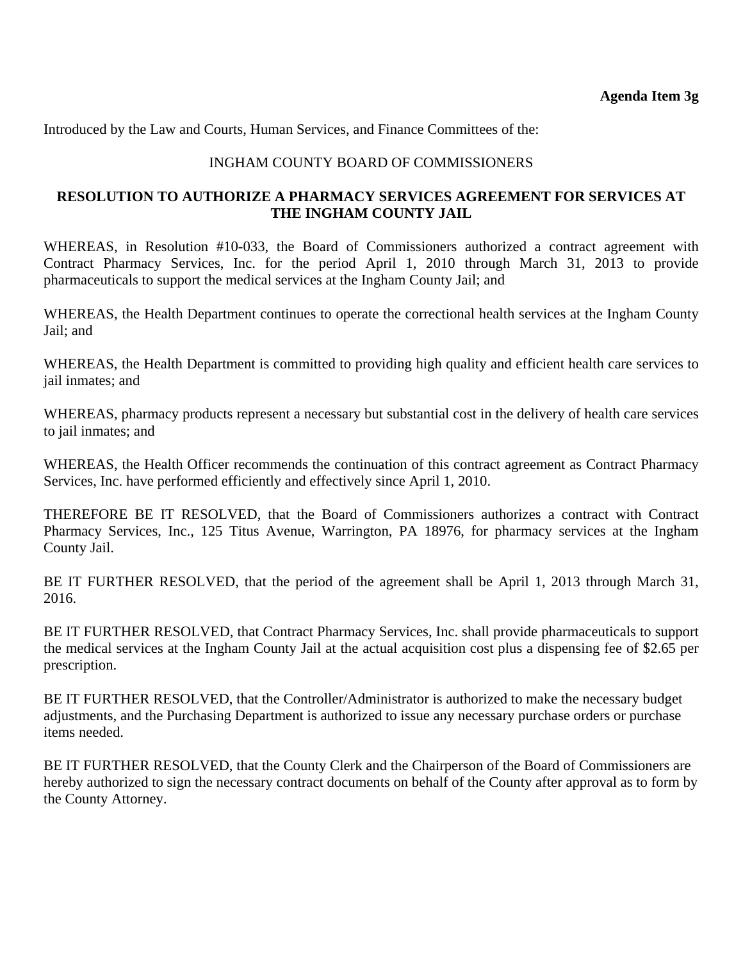Introduced by the Law and Courts, Human Services, and Finance Committees of the:

### INGHAM COUNTY BOARD OF COMMISSIONERS

#### **RESOLUTION TO AUTHORIZE A PHARMACY SERVICES AGREEMENT FOR SERVICES AT THE INGHAM COUNTY JAIL**

WHEREAS, in Resolution #10-033, the Board of Commissioners authorized a contract agreement with Contract Pharmacy Services, Inc. for the period April 1, 2010 through March 31, 2013 to provide pharmaceuticals to support the medical services at the Ingham County Jail; and

WHEREAS, the Health Department continues to operate the correctional health services at the Ingham County Jail; and

WHEREAS, the Health Department is committed to providing high quality and efficient health care services to jail inmates; and

WHEREAS, pharmacy products represent a necessary but substantial cost in the delivery of health care services to jail inmates; and

WHEREAS, the Health Officer recommends the continuation of this contract agreement as Contract Pharmacy Services, Inc. have performed efficiently and effectively since April 1, 2010.

THEREFORE BE IT RESOLVED, that the Board of Commissioners authorizes a contract with Contract Pharmacy Services, Inc., 125 Titus Avenue, Warrington, PA 18976, for pharmacy services at the Ingham County Jail.

BE IT FURTHER RESOLVED, that the period of the agreement shall be April 1, 2013 through March 31, 2016.

BE IT FURTHER RESOLVED, that Contract Pharmacy Services, Inc. shall provide pharmaceuticals to support the medical services at the Ingham County Jail at the actual acquisition cost plus a dispensing fee of \$2.65 per prescription.

BE IT FURTHER RESOLVED, that the Controller/Administrator is authorized to make the necessary budget adjustments, and the Purchasing Department is authorized to issue any necessary purchase orders or purchase items needed.

BE IT FURTHER RESOLVED, that the County Clerk and the Chairperson of the Board of Commissioners are hereby authorized to sign the necessary contract documents on behalf of the County after approval as to form by the County Attorney.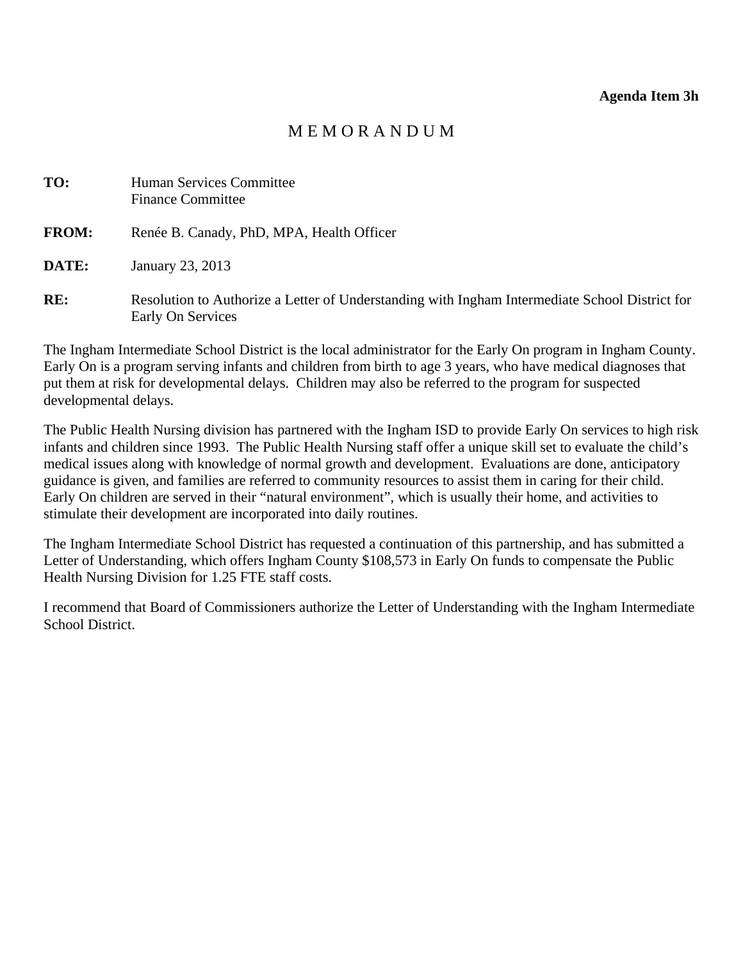#### **Agenda Item 3h**

# M E M O R A N D U M

<span id="page-32-0"></span>

| TO:          | Human Services Committee<br><b>Finance Committee</b>                                                                |
|--------------|---------------------------------------------------------------------------------------------------------------------|
| <b>FROM:</b> | Renée B. Canady, PhD, MPA, Health Officer                                                                           |
| DATE:        | January 23, 2013                                                                                                    |
| RE:          | Resolution to Authorize a Letter of Understanding with Ingham Intermediate School District for<br>Early On Services |

The Ingham Intermediate School District is the local administrator for the Early On program in Ingham County. Early On is a program serving infants and children from birth to age 3 years, who have medical diagnoses that put them at risk for developmental delays. Children may also be referred to the program for suspected developmental delays.

The Public Health Nursing division has partnered with the Ingham ISD to provide Early On services to high risk infants and children since 1993. The Public Health Nursing staff offer a unique skill set to evaluate the child's medical issues along with knowledge of normal growth and development. Evaluations are done, anticipatory guidance is given, and families are referred to community resources to assist them in caring for their child. Early On children are served in their "natural environment", which is usually their home, and activities to stimulate their development are incorporated into daily routines.

The Ingham Intermediate School District has requested a continuation of this partnership, and has submitted a Letter of Understanding, which offers Ingham County \$108,573 in Early On funds to compensate the Public Health Nursing Division for 1.25 FTE staff costs.

I recommend that Board of Commissioners authorize the Letter of Understanding with the Ingham Intermediate School District.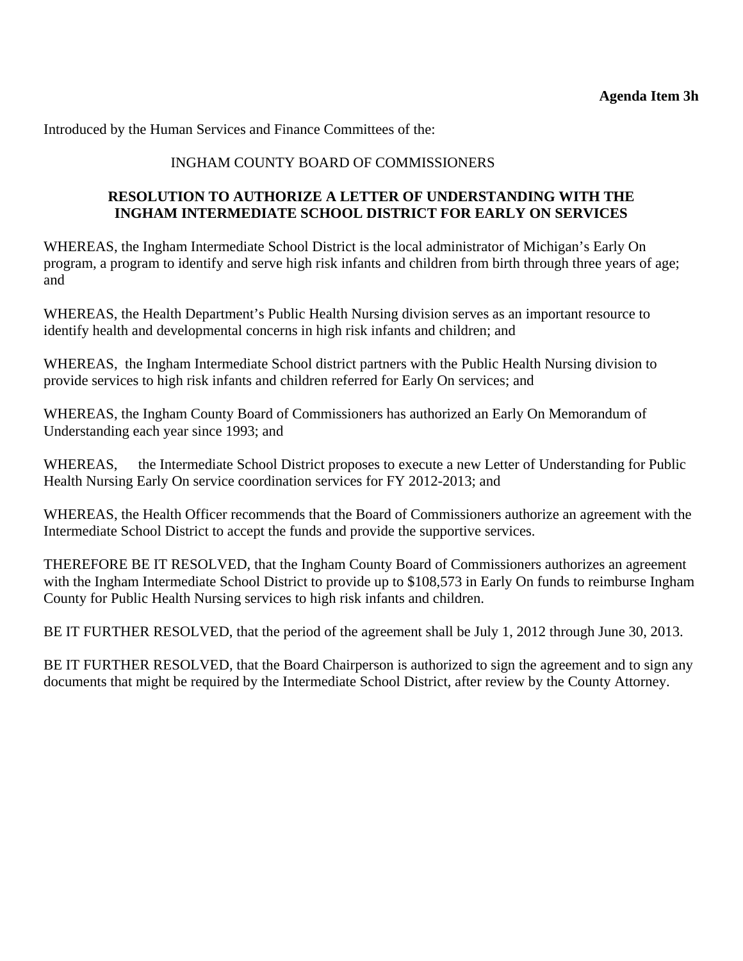Introduced by the Human Services and Finance Committees of the:

## INGHAM COUNTY BOARD OF COMMISSIONERS

## **RESOLUTION TO AUTHORIZE A LETTER OF UNDERSTANDING WITH THE INGHAM INTERMEDIATE SCHOOL DISTRICT FOR EARLY ON SERVICES**

WHEREAS, the Ingham Intermediate School District is the local administrator of Michigan's Early On program, a program to identify and serve high risk infants and children from birth through three years of age; and

WHEREAS, the Health Department's Public Health Nursing division serves as an important resource to identify health and developmental concerns in high risk infants and children; and

WHEREAS, the Ingham Intermediate School district partners with the Public Health Nursing division to provide services to high risk infants and children referred for Early On services; and

WHEREAS, the Ingham County Board of Commissioners has authorized an Early On Memorandum of Understanding each year since 1993; and

WHEREAS, the Intermediate School District proposes to execute a new Letter of Understanding for Public Health Nursing Early On service coordination services for FY 2012-2013; and

WHEREAS, the Health Officer recommends that the Board of Commissioners authorize an agreement with the Intermediate School District to accept the funds and provide the supportive services.

THEREFORE BE IT RESOLVED, that the Ingham County Board of Commissioners authorizes an agreement with the Ingham Intermediate School District to provide up to \$108,573 in Early On funds to reimburse Ingham County for Public Health Nursing services to high risk infants and children.

BE IT FURTHER RESOLVED, that the period of the agreement shall be July 1, 2012 through June 30, 2013.

BE IT FURTHER RESOLVED, that the Board Chairperson is authorized to sign the agreement and to sign any documents that might be required by the Intermediate School District, after review by the County Attorney.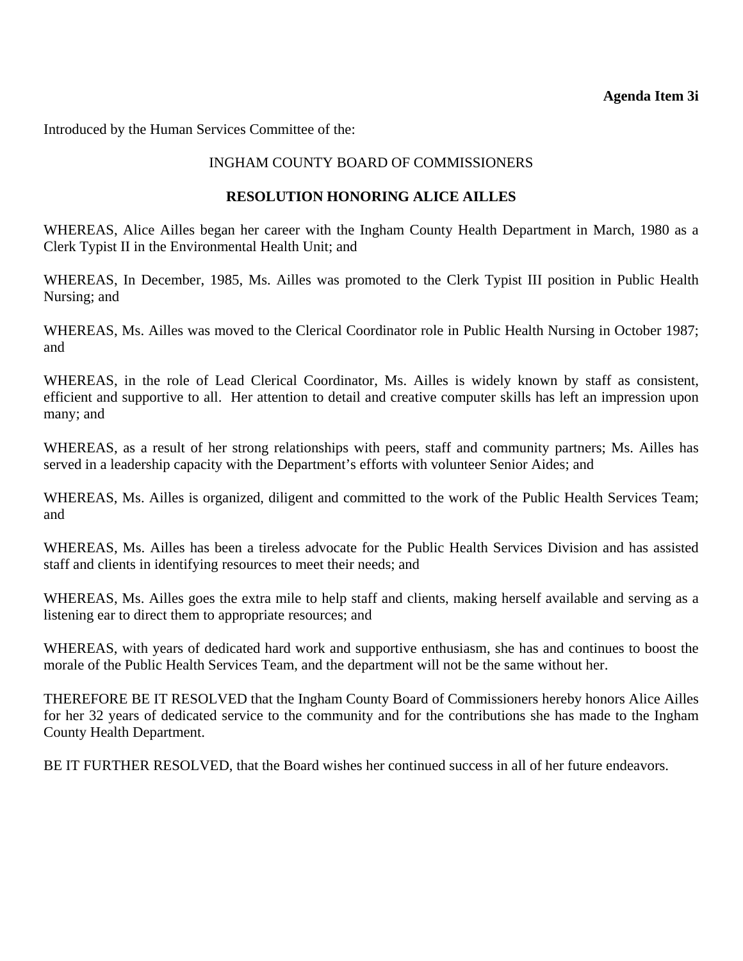#### **Agenda Item 3i**

<span id="page-34-0"></span>Introduced by the Human Services Committee of the:

## INGHAM COUNTY BOARD OF COMMISSIONERS

#### **RESOLUTION HONORING ALICE AILLES**

WHEREAS, Alice Ailles began her career with the Ingham County Health Department in March, 1980 as a Clerk Typist II in the Environmental Health Unit; and

WHEREAS, In December, 1985, Ms. Ailles was promoted to the Clerk Typist III position in Public Health Nursing; and

WHEREAS, Ms. Ailles was moved to the Clerical Coordinator role in Public Health Nursing in October 1987; and

WHEREAS, in the role of Lead Clerical Coordinator, Ms. Ailles is widely known by staff as consistent, efficient and supportive to all. Her attention to detail and creative computer skills has left an impression upon many; and

WHEREAS, as a result of her strong relationships with peers, staff and community partners; Ms. Ailles has served in a leadership capacity with the Department's efforts with volunteer Senior Aides; and

WHEREAS, Ms. Ailles is organized, diligent and committed to the work of the Public Health Services Team; and

WHEREAS, Ms. Ailles has been a tireless advocate for the Public Health Services Division and has assisted staff and clients in identifying resources to meet their needs; and

WHEREAS, Ms. Ailles goes the extra mile to help staff and clients, making herself available and serving as a listening ear to direct them to appropriate resources; and

WHEREAS, with years of dedicated hard work and supportive enthusiasm, she has and continues to boost the morale of the Public Health Services Team, and the department will not be the same without her.

THEREFORE BE IT RESOLVED that the Ingham County Board of Commissioners hereby honors Alice Ailles for her 32 years of dedicated service to the community and for the contributions she has made to the Ingham County Health Department.

BE IT FURTHER RESOLVED, that the Board wishes her continued success in all of her future endeavors.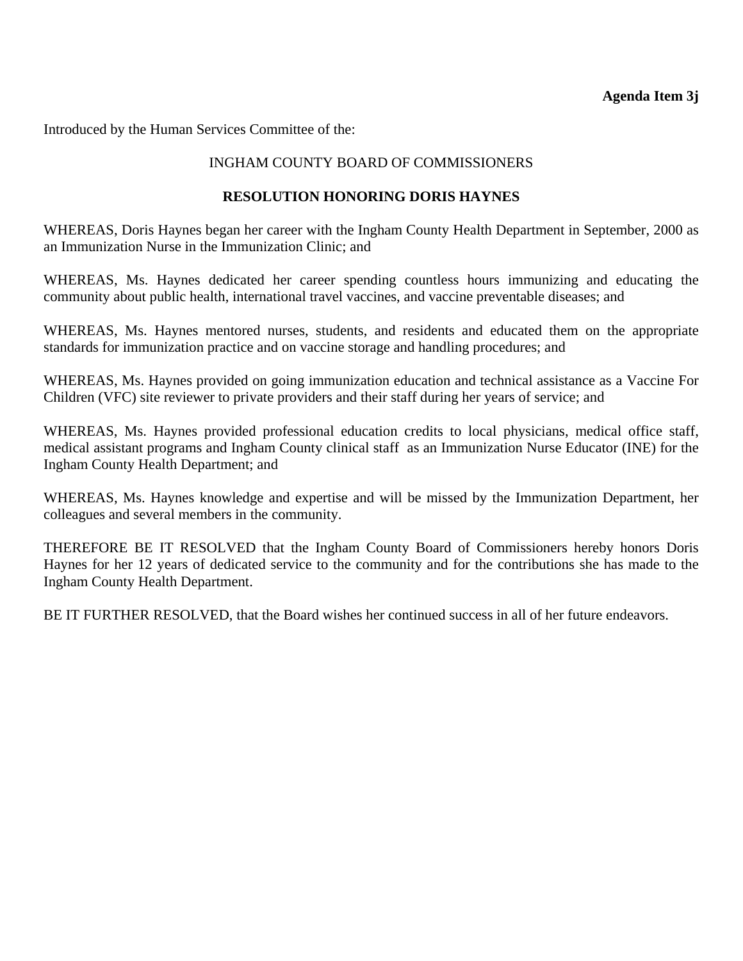<span id="page-35-0"></span>Introduced by the Human Services Committee of the:

# INGHAM COUNTY BOARD OF COMMISSIONERS

## **RESOLUTION HONORING DORIS HAYNES**

WHEREAS, Doris Haynes began her career with the Ingham County Health Department in September, 2000 as an Immunization Nurse in the Immunization Clinic; and

WHEREAS, Ms. Haynes dedicated her career spending countless hours immunizing and educating the community about public health, international travel vaccines, and vaccine preventable diseases; and

WHEREAS, Ms. Haynes mentored nurses, students, and residents and educated them on the appropriate standards for immunization practice and on vaccine storage and handling procedures; and

WHEREAS, Ms. Haynes provided on going immunization education and technical assistance as a Vaccine For Children (VFC) site reviewer to private providers and their staff during her years of service; and

WHEREAS, Ms. Haynes provided professional education credits to local physicians, medical office staff, medical assistant programs and Ingham County clinical staff as an Immunization Nurse Educator (INE) for the Ingham County Health Department; and

WHEREAS, Ms. Haynes knowledge and expertise and will be missed by the Immunization Department, her colleagues and several members in the community.

THEREFORE BE IT RESOLVED that the Ingham County Board of Commissioners hereby honors Doris Haynes for her 12 years of dedicated service to the community and for the contributions she has made to the Ingham County Health Department.

BE IT FURTHER RESOLVED, that the Board wishes her continued success in all of her future endeavors.